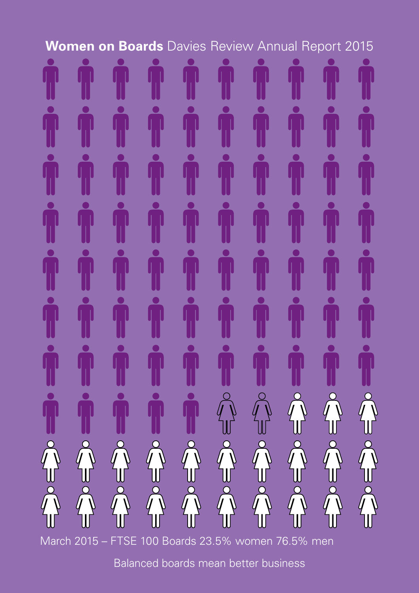# **Women on Boards** Davies Review Annual Report 2015



March 2015 – FTSE 100 Boards 23.5% women 76.5% men

Balanced boards mean better business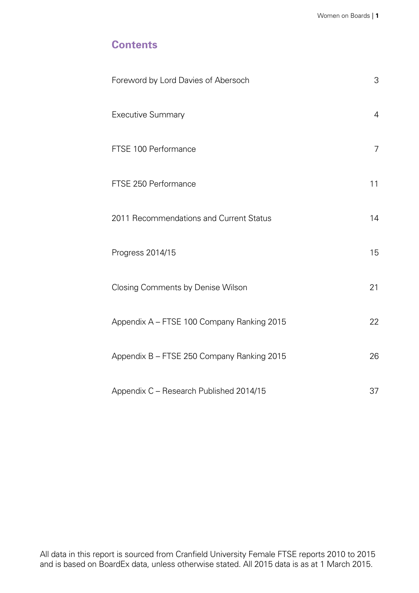# **Contents**

| Foreword by Lord Davies of Abersoch        | 3              |
|--------------------------------------------|----------------|
| <b>Executive Summary</b>                   | $\overline{4}$ |
| FTSE 100 Performance                       | $\overline{7}$ |
| FTSE 250 Performance                       | 11             |
| 2011 Recommendations and Current Status    | 14             |
| Progress 2014/15                           | 15             |
| <b>Closing Comments by Denise Wilson</b>   | 21             |
| Appendix A - FTSE 100 Company Ranking 2015 | 22             |
| Appendix B - FTSE 250 Company Ranking 2015 | 26             |
| Appendix C - Research Published 2014/15    | 37             |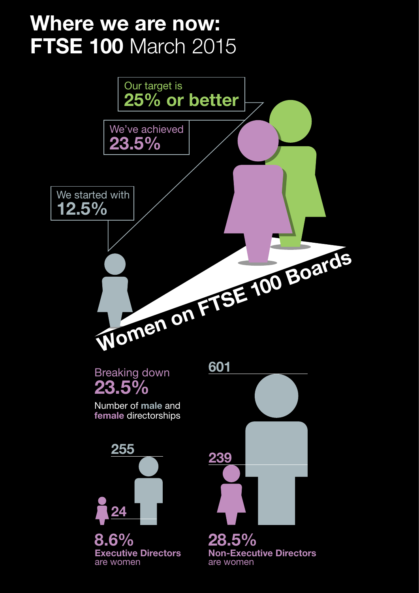# **Where we are now: FTSE 100 March 2015**

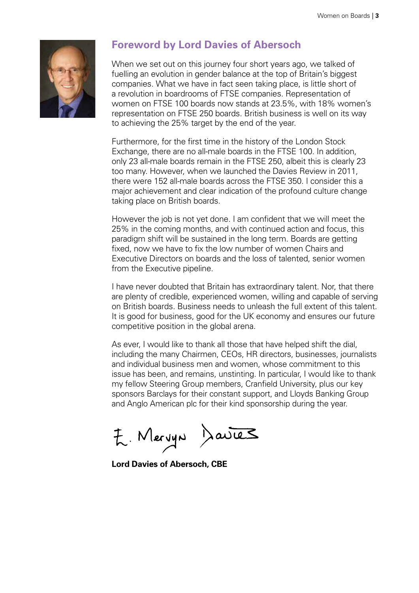<span id="page-4-0"></span>

# **Foreword by Lord Davies of Abersoch**

When we set out on this journey four short years ago, we talked of fuelling an evolution in gender balance at the top of Britain's biggest companies. What we have in fact seen taking place, is little short of a revolution in boardrooms of FTSE companies. Representation of women on FTSE 100 boards now stands at 23.5%, with 18% women's representation on FTSE 250 boards. British business is well on its way to achieving the 25% target by the end of the year.

Furthermore, for the first time in the history of the London Stock Exchange, there are no all-male boards in the FTSE 100. In addition, only 23 all-male boards remain in the FTSE 250, albeit this is clearly 23 too many. However, when we launched the Davies Review in 2011, there were 152 all-male boards across the FTSE 350. I consider this a major achievement and clear indication of the profound culture change taking place on British boards.

However the job is not yet done. I am confident that we will meet the 25% in the coming months, and with continued action and focus, this paradigm shift will be sustained in the long term. Boards are getting fixed, now we have to fix the low number of women Chairs and Executive Directors on boards and the loss of talented, senior women from the Executive pipeline.

I have never doubted that Britain has extraordinary talent. Nor, that there are plenty of credible, experienced women, willing and capable of serving on British boards. Business needs to unleash the full extent of this talent. It is good for business, good for the UK economy and ensures our future competitive position in the global arena.

As ever, I would like to thank all those that have helped shift the dial, including the many Chairmen, CEOs, HR directors, businesses, journalists and individual business men and women, whose commitment to this issue has been, and remains, unstinting. In particular, I would like to thank my fellow Steering Group members, Cranfield University, plus our key sponsors Barclays for their constant support, and Lloyds Banking Group and Anglo American plc for their kind sponsorship during the year.

E. Mervyn Davies

**Lord Davies of Abersoch, CBE**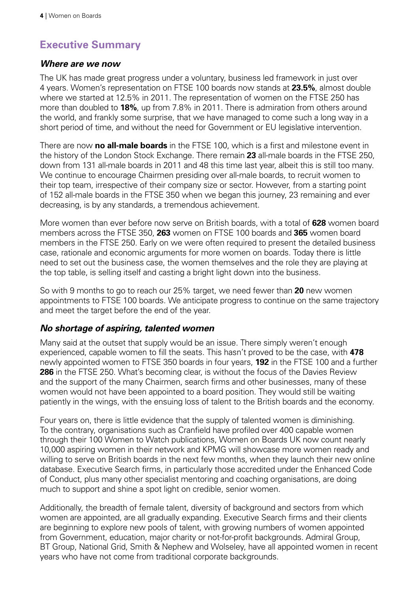# <span id="page-5-0"></span>**Executive Summary**

#### *Where are we now*

The UK has made great progress under a voluntary, business led framework in just over 4 years. Women's representation on FTSE 100 boards now stands at **23.5%**, almost double where we started at 12.5% in 2011. The representation of women on the FTSE 250 has more than doubled to **18%**, up from 7.8% in 2011. There is admiration from others around the world, and frankly some surprise, that we have managed to come such a long way in a short period of time, and without the need for Government or EU legislative intervention.

There are now **no all-male boards** in the FTSE 100, which is a first and milestone event in the history of the London Stock Exchange. There remain **23** all-male boards in the FTSE 250, down from 131 all-male boards in 2011 and 48 this time last year, albeit this is still too many. We continue to encourage Chairmen presiding over all-male boards, to recruit women to their top team, irrespective of their company size or sector. However, from a starting point of 152 all-male boards in the FTSE 350 when we began this journey, 23 remaining and ever decreasing, is by any standards, a tremendous achievement.

More women than ever before now serve on British boards, with a total of **628** women board members across the FTSE 350, **263** women on FTSE 100 boards and **365** women board members in the FTSE 250. Early on we were often required to present the detailed business case, rationale and economic arguments for more women on boards. Today there is little need to set out the business case, the women themselves and the role they are playing at the top table, is selling itself and casting a bright light down into the business.

So with 9 months to go to reach our 25% target, we need fewer than **20** new women appointments to FTSE 100 boards. We anticipate progress to continue on the same trajectory and meet the target before the end of the year.

#### *No shortage of aspiring, talented women*

Many said at the outset that supply would be an issue. There simply weren't enough experienced, capable women to fill the seats. This hasn't proved to be the case, with **478** newly appointed women to FTSE 350 boards in four years, **192** in the FTSE 100 and a further **286** in the FTSE 250. What's becoming clear, is without the focus of the Davies Review and the support of the many Chairmen, search firms and other businesses, many of these women would not have been appointed to a board position. They would still be waiting patiently in the wings, with the ensuing loss of talent to the British boards and the economy.

Four years on, there is little evidence that the supply of talented women is diminishing. To the contrary, organisations such as Cranfield have profiled over 400 capable women through their 100 Women to Watch publications, Women on Boards UK now count nearly 10,000 aspiring women in their network and KPMG will showcase more women ready and willing to serve on British boards in the next few months, when they launch their new online database. Executive Search firms, in particularly those accredited under the Enhanced Code of Conduct, plus many other specialist mentoring and coaching organisations, are doing much to support and shine a spot light on credible, senior women.

Additionally, the breadth of female talent, diversity of background and sectors from which women are appointed, are all gradually expanding. Executive Search firms and their clients are beginning to explore new pools of talent, with growing numbers of women appointed from Government, education, major charity or not-for-profit backgrounds. Admiral Group, BT Group, National Grid, Smith & Nephew and Wolseley, have all appointed women in recent years who have not come from traditional corporate backgrounds.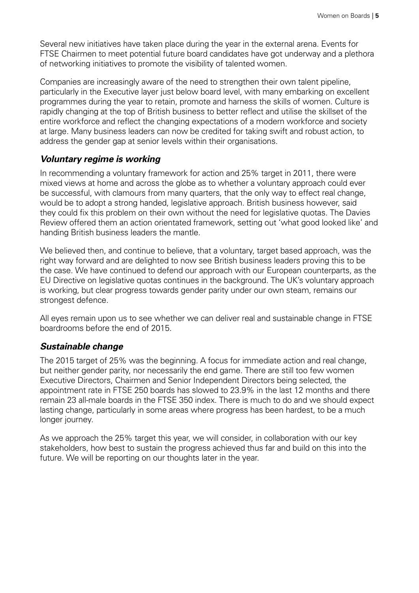Several new initiatives have taken place during the year in the external arena. Events for FTSE Chairmen to meet potential future board candidates have got underway and a plethora of networking initiatives to promote the visibility of talented women.

Companies are increasingly aware of the need to strengthen their own talent pipeline, particularly in the Executive layer just below board level, with many embarking on excellent programmes during the year to retain, promote and harness the skills of women. Culture is rapidly changing at the top of British business to better reflect and utilise the skillset of the entire workforce and reflect the changing expectations of a modern workforce and society at large. Many business leaders can now be credited for taking swift and robust action, to address the gender gap at senior levels within their organisations.

#### *Voluntary regime is working*

In recommending a voluntary framework for action and 25% target in 2011, there were mixed views at home and across the globe as to whether a voluntary approach could ever be successful, with clamours from many quarters, that the only way to effect real change, would be to adopt a strong handed, legislative approach. British business however, said they could fix this problem on their own without the need for legislative quotas. The Davies Review offered them an action orientated framework, setting out 'what good looked like' and handing British business leaders the mantle.

We believed then, and continue to believe, that a voluntary, target based approach, was the right way forward and are delighted to now see British business leaders proving this to be the case. We have continued to defend our approach with our European counterparts, as the EU Directive on legislative quotas continues in the background. The UK's voluntary approach is working, but clear progress towards gender parity under our own steam, remains our strongest defence.

All eyes remain upon us to see whether we can deliver real and sustainable change in FTSE boardrooms before the end of 2015.

#### *Sustainable change*

The 2015 target of 25% was the beginning. A focus for immediate action and real change, but neither gender parity, nor necessarily the end game. There are still too few women Executive Directors, Chairmen and Senior Independent Directors being selected, the appointment rate in FTSE 250 boards has slowed to 23.9% in the last 12 months and there remain 23 all-male boards in the FTSE 350 index. There is much to do and we should expect lasting change, particularly in some areas where progress has been hardest, to be a much longer journey.

As we approach the 25% target this year, we will consider, in collaboration with our key stakeholders, how best to sustain the progress achieved thus far and build on this into the future. We will be reporting on our thoughts later in the year.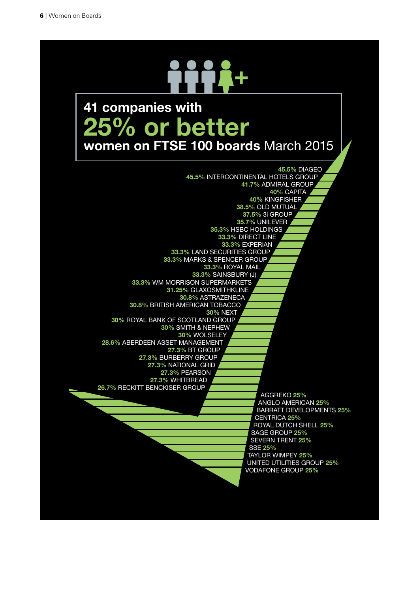# +

# 41 companies with 25% or better women on FTSE 100 boards March 2015

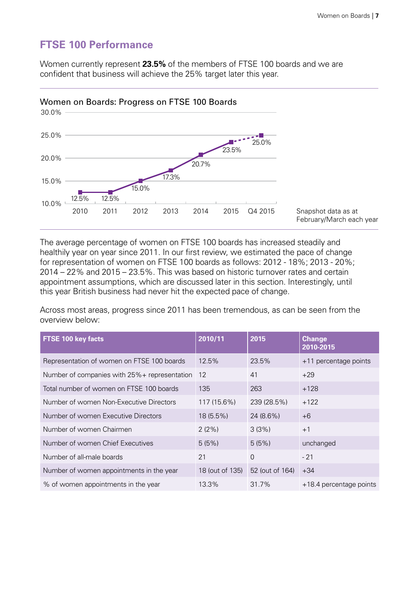# <span id="page-8-0"></span>**FTSE 100 Performance**

Women currently represent **23.5%** of the members of FTSE 100 boards and we are confident that business will achieve the 25% target later this year.



The average percentage of women on FTSE 100 boards has increased steadily and healthily year on year since 2011. In our first review, we estimated the pace of change for representation of women on FTSE 100 boards as follows: 2012 - 18%; 2013 - 20%; 2014 – 22% and 2015 – 23.5%. This was based on historic turnover rates and certain appointment assumptions, which are discussed later in this section. Interestingly, until this year British business had never hit the expected pace of change.

Across most areas, progress since 2011 has been tremendous, as can be seen from the overview below:

| FTSE 100 key facts                           | 2010/11         | 2015            | <b>Change</b><br>2010-2015 |
|----------------------------------------------|-----------------|-----------------|----------------------------|
| Representation of women on FTSE 100 boards   | 12.5%           | 23.5%           | +11 percentage points      |
| Number of companies with 25%+ representation | 12              | 41              | $+29$                      |
| Total number of women on FTSE 100 boards     | 135             | 263             | $+128$                     |
| Number of women Non-Executive Directors      | 117 (15.6%)     | 239 (28.5%)     | $+122$                     |
| Number of women Executive Directors          | 18 (5.5%)       | 24 (8.6%)       | $+6$                       |
| Number of women Chairmen                     | 2(2%)           | 3(3%)           | $+1$                       |
| Number of women Chief Executives             | 5(5%)           | 5(5%)           | unchanged                  |
| Number of all-male boards                    | 21              | $\Omega$        | $-21$                      |
| Number of women appointments in the year     | 18 (out of 135) | 52 (out of 164) | $+34$                      |
| % of women appointments in the year          | 13.3%           | 31.7%           | +18.4 percentage points    |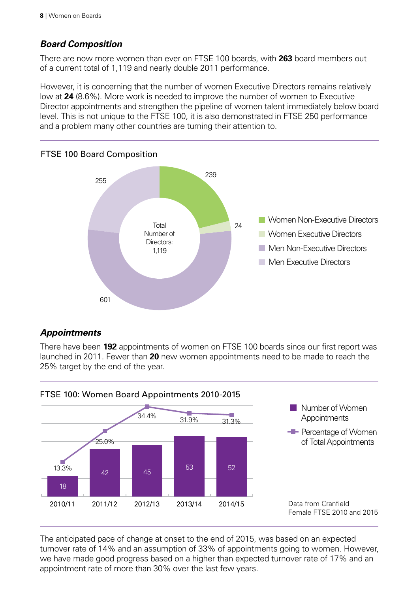# *Board Composition*

There are now more women than ever on FTSE 100 boards, with **263** board members out of a current total of 1,119 and nearly double 2011 performance.

However, it is concerning that the number of women Executive Directors remains relatively low at **24** (8.6%). More work is needed to improve the number of women to Executive Director appointments and strengthen the pipeline of women talent immediately below board level. This is not unique to the FTSE 100, it is also demonstrated in FTSE 250 performance and a problem many other countries are turning their attention to.



# FTSE 100 Board Composition

# *Appointments*

There have been **192** appointments of women on FTSE 100 boards since our first report was launched in 2011. Fewer than **20** new women appointments need to be made to reach the 25% target by the end of the year.



The anticipated pace of change at onset to the end of 2015, was based on an expected turnover rate of 14% and an assumption of 33% of appointments going to women. However, we have made good progress based on a higher than expected turnover rate of 17% and an appointment rate of more than 30% over the last few years.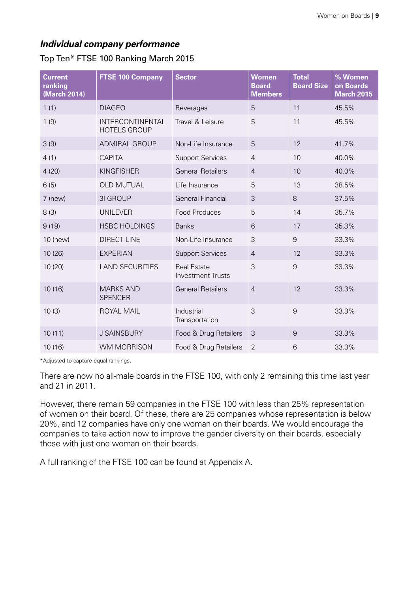# *Individual company performance*

| <b>Current</b><br>ranking<br>(March 2014) | <b>FTSE 100 Company</b>                        | <b>Sector</b>                                  | <b>Women</b><br><b>Board</b><br><b>Members</b> | <b>Total</b><br><b>Board Size</b> | % Women<br>on Boards<br><b>March 2015</b> |
|-------------------------------------------|------------------------------------------------|------------------------------------------------|------------------------------------------------|-----------------------------------|-------------------------------------------|
| 1(1)                                      | <b>DIAGEO</b>                                  | <b>Beverages</b>                               | 5                                              | 11                                | 45.5%                                     |
| 1(9)                                      | <b>INTERCONTINENTAL</b><br><b>HOTELS GROUP</b> | Travel & Leisure                               | 5                                              | 11                                | 45.5%                                     |
| 3(9)                                      | <b>ADMIRAL GROUP</b>                           | Non-Life Insurance                             | 5                                              | 12                                | 41.7%                                     |
| 4(1)                                      | <b>CAPITA</b>                                  | <b>Support Services</b>                        | $\overline{4}$                                 | 10                                | 40.0%                                     |
| 4(20)                                     | <b>KINGFISHER</b>                              | <b>General Retailers</b>                       | $\overline{4}$                                 | 10                                | 40.0%                                     |
| 6(5)                                      | <b>OLD MUTUAL</b>                              | Life Insurance                                 | 5                                              | 13                                | 38.5%                                     |
| $7$ (new)                                 | 3I GROUP                                       | <b>General Financial</b>                       | 3                                              | 8                                 | 37.5%                                     |
| 8(3)                                      | <b>UNILEVER</b>                                | Food Produces                                  | 5                                              | 14                                | 35.7%                                     |
| 9(19)                                     | <b>HSBC HOLDINGS</b>                           | <b>Banks</b>                                   | 6                                              | 17                                | 35.3%                                     |
| 10 (new)                                  | <b>DIRECT LINE</b>                             | Non-Life Insurance                             | 3                                              | $\overline{9}$                    | 33.3%                                     |
| 10 (26)                                   | <b>EXPERIAN</b>                                | <b>Support Services</b>                        | $\overline{4}$                                 | 12                                | 33.3%                                     |
| 10 (20)                                   | <b>LAND SECURITIES</b>                         | <b>Real Estate</b><br><b>Investment Trusts</b> | 3                                              | $\overline{9}$                    | 33.3%                                     |
| 10(16)                                    | <b>MARKS AND</b><br><b>SPENCER</b>             | <b>General Retailers</b>                       | $\overline{4}$                                 | 12                                | 33.3%                                     |
| 10(3)                                     | <b>ROYAL MAIL</b>                              | Industrial<br>Transportation                   | 3                                              | 9                                 | 33.3%                                     |
| 10(11)                                    | <b>J SAINSBURY</b>                             | Food & Drug Retailers                          | 3                                              | 9                                 | 33.3%                                     |
| 10 (16)                                   | <b>WM MORRISON</b>                             | Food & Drug Retailers                          | $\overline{2}$                                 | 6                                 | 33.3%                                     |

Top Ten\* FTSE 100 Ranking March 2015

\*Adjusted to capture equal rankings.

There are now no all-male boards in the FTSE 100, with only 2 remaining this time last year and 21 in 2011.

However, there remain 59 companies in the FTSE 100 with less than 25% representation of women on their board. Of these, there are 25 companies whose representation is below 20%, and 12 companies have only one woman on their boards. We would encourage the companies to take action now to improve the gender diversity on their boards, especially those with just one woman on their boards.

A full ranking of the FTSE 100 can be found at Appendix A.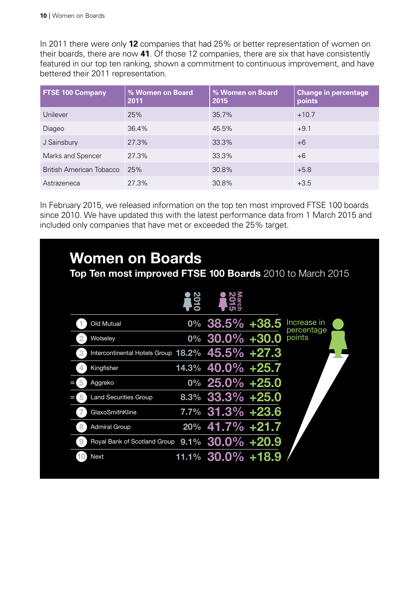In 2011 there were only **12** companies that had 25% or better representation of women on their boards, there are now **41**. Of those 12 companies, there are six that have consistently featured in our top ten ranking, shown a commitment to continuous improvement, and have bettered their 2011 representation.

| <b>FTSE 100 Company</b>  | % Women on Board<br>2011 | % Women on Board<br>2015 | <b>Change in percentage</b><br>points |
|--------------------------|--------------------------|--------------------------|---------------------------------------|
| Unilever                 | 25%                      | 35.7%                    | $+10.7$                               |
| Diageo                   | 36.4%                    | 45.5%                    | $+9.1$                                |
| J Sainsbury              | 27.3%                    | 33.3%                    | $+6$                                  |
| Marks and Spencer        | 27.3%                    | 33.3%                    | $+6$                                  |
| British American Tobacco | 25%                      | 30.8%                    | $+5.8$                                |
| Astrazeneca              | 27.3%                    | 30.8%                    | $+3.5$                                |

In February 2015, we released information on the top ten most improved FTSE 100 boards since 2010. We have updated this with the latest performance data from 1 March 2015 and included only companies that have met or exceeded the 25% target.

| Old Mutual                                           | $0\%$ 38.5% +38.5   | Increase in<br>percentage |
|------------------------------------------------------|---------------------|---------------------------|
| Wolseley                                             | $0\%$ 30.0% +30.0   | points                    |
| Intercontinental Hotels Group 18.2% 45.5% +27.3<br>3 |                     |                           |
| Kingfisher<br>4                                      | 14.3% 40.0% +25.7   |                           |
| Aggreko<br>5                                         | $0\%$ 25.0% +25.0   |                           |
| <b>Land Securities Group</b>                         | $8.3\%$ 33.3% +25.0 |                           |
| GlaxoSmithKline                                      | $7.7\%$ 31.3% +23.6 |                           |
| <b>Admiral Group</b>                                 | $20\%$ 41.7% +21.7  |                           |
| Royal Bank of Scotland Group 9.1% 30.0% +20.9<br>9   |                     |                           |
| <b>Next</b>                                          | 11.1% 30.0% +18.9   |                           |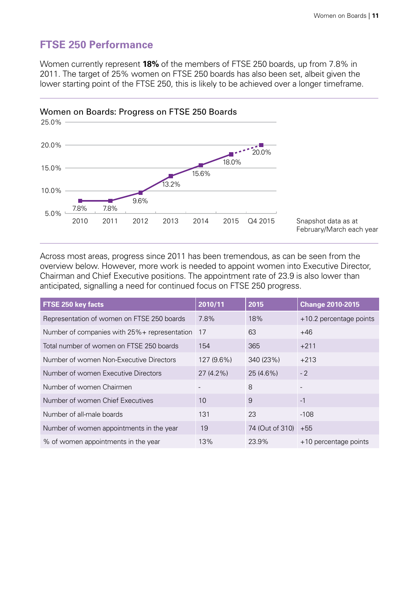# <span id="page-12-0"></span>**FTSE 250 Performance**

Women currently represent **18%** of the members of FTSE 250 boards, up from 7.8% in 2011. The target of 25% women on FTSE 250 boards has also been set, albeit given the lower starting point of the FTSE 250, this is likely to be achieved over a longer timeframe.



Across most areas, progress since 2011 has been tremendous, as can be seen from the overview below. However, more work is needed to appoint women into Executive Director, Chairman and Chief Executive positions. The appointment rate of 23.9 is also lower than anticipated, signalling a need for continued focus on FTSE 250 progress.

| FTSE 250 key facts                            | 2010/11     | 2015            | <b>Change 2010-2015</b> |
|-----------------------------------------------|-------------|-----------------|-------------------------|
| Representation of women on FTSE 250 boards    | 7.8%        | 18%             | +10.2 percentage points |
| Number of companies with 25% + representation | 17          | 63              | $+46$                   |
| Total number of women on FTSE 250 boards      | 154         | 365             | $+211$                  |
| Number of women Non-Executive Directors       | 127 (9.6%)  | 340 (23%)       | $+213$                  |
| Number of women Executive Directors           | $27(4.2\%)$ | 25 (4.6%)       | $-2$                    |
| Number of women Chairmen                      |             | 8               |                         |
| Number of women Chief Executives              | 10          | 9               | $-1$                    |
| Number of all-male boards                     | 131         | 23              | $-108$                  |
| Number of women appointments in the year      | 19          | 74 (Out of 310) | $+55$                   |
| % of women appointments in the year           | 13%         | 23.9%           | +10 percentage points   |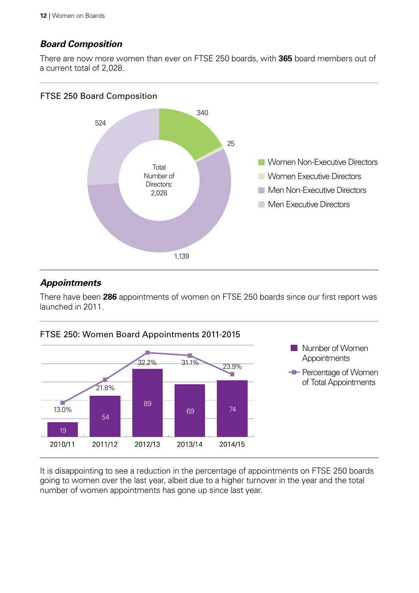# *Board Composition*

There are now more women than ever on FTSE 250 boards, with **365** board members out of a current total of 2,028.

## FTSE 250 Board Composition



# *Appointments*

There have been **286** appointments of women on FTSE 250 boards since our first report was launched in 2011.



It is disappointing to see a reduction in the percentage of appointments on FTSE 250 boards going to women over the last year, albeit due to a higher turnover in the year and the total number of women appointments has gone up since last year.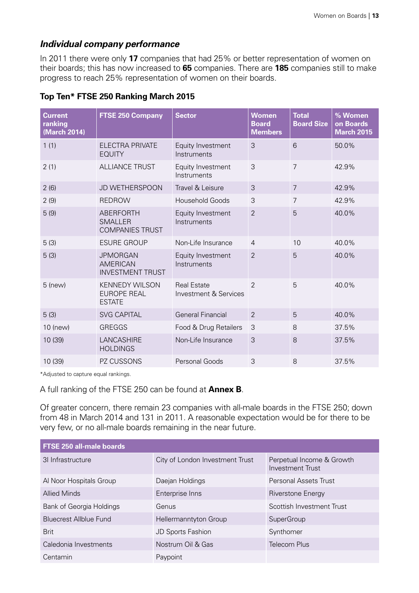#### *Individual company performance*

In 2011 there were only **17** companies that had 25% or better representation of women on their boards; this has now increased to **65** companies. There are **185** companies still to make progress to reach 25% representation of women on their boards.

#### **Top Ten\* FTSE 250 Ranking March 2015**

| <b>Current</b><br>ranking<br>(March 2014) | <b>FTSE 250 Company</b>                                       | <b>Sector</b>                               | <b>Women</b><br><b>Board</b><br><b>Members</b> | <b>Total</b><br><b>Board Size</b> | % Women<br>on Boards<br><b>March 2015</b> |
|-------------------------------------------|---------------------------------------------------------------|---------------------------------------------|------------------------------------------------|-----------------------------------|-------------------------------------------|
| 1(1)                                      | <b>ELECTRA PRIVATE</b><br><b>EQUITY</b>                       | Equity Investment<br>Instruments            | 3                                              | 6                                 | 50.0%                                     |
| 2(1)                                      | <b>ALLIANCE TRUST</b>                                         | Equity Investment<br>Instruments            | 3                                              | $\overline{7}$                    | 42.9%                                     |
| 2(6)                                      | <b>JD WETHERSPOON</b>                                         | Travel & Leisure                            | 3                                              | $\overline{7}$                    | 42.9%                                     |
| 2(9)                                      | <b>REDROW</b>                                                 | <b>Household Goods</b>                      | 3                                              | $\overline{7}$                    | 42.9%                                     |
| 5(9)                                      | <b>ABERFORTH</b><br><b>SMALLER</b><br><b>COMPANIES TRUST</b>  | Equity Investment<br>Instruments            | $\overline{2}$                                 | 5                                 | 40.0%                                     |
| 5(3)                                      | <b>ESURE GROUP</b>                                            | Non-Life Insurance                          | $\overline{4}$                                 | 10                                | 40.0%                                     |
| 5(3)                                      | <b>JPMORGAN</b><br><b>AMERICAN</b><br><b>INVESTMENT TRUST</b> | Equity Investment<br>Instruments            | $\overline{2}$                                 | 5                                 | 40.0%                                     |
| $5$ (new)                                 | <b>KENNEDY WILSON</b><br><b>EUROPE REAL</b><br><b>ESTATE</b>  | <b>Real Estate</b><br>Investment & Services | $\overline{2}$                                 | 5                                 | 40.0%                                     |
| 5(3)                                      | <b>SVG CAPITAL</b>                                            | <b>General Financial</b>                    | $\overline{2}$                                 | 5                                 | 40.0%                                     |
| 10 (new)                                  | <b>GREGGS</b>                                                 | Food & Drug Retailers                       | 3                                              | 8                                 | 37.5%                                     |
| 10 (39)                                   | LANCASHIRE<br><b>HOLDINGS</b>                                 | Non-Life Insurance                          | 3                                              | 8                                 | 37.5%                                     |
| 10 (39)                                   | PZ CUSSONS                                                    | Personal Goods                              | 3                                              | 8                                 | 37.5%                                     |

\*Adjusted to capture equal rankings.

A full ranking of the FTSE 250 can be found at **Annex B**.

Of greater concern, there remain 23 companies with all-male boards in the FTSE 250; down from 48 in March 2014 and 131 in 2011. A reasonable expectation would be for there to be very few, or no all-male boards remaining in the near future.

| FTSE 250 all-male boards      |                                 |                                               |  |  |  |  |
|-------------------------------|---------------------------------|-----------------------------------------------|--|--|--|--|
| 31 Infrastructure             | City of London Investment Trust | Perpetual Income & Growth<br>Investment Trust |  |  |  |  |
| Al Noor Hospitals Group       | Daejan Holdings                 | Personal Assets Trust                         |  |  |  |  |
| <b>Allied Minds</b>           | Enterprise Inns                 | Riverstone Energy                             |  |  |  |  |
| Bank of Georgia Holdings      | Genus                           | Scottish Investment Trust                     |  |  |  |  |
| <b>Bluecrest Allblue Fund</b> | Hellermanntyton Group           | SuperGroup                                    |  |  |  |  |
| <b>Brit</b>                   | JD Sports Fashion               | Synthomer                                     |  |  |  |  |
| Caledonia Investments         | Nostrum Oil & Gas               | Telecom Plus                                  |  |  |  |  |
| Centamin                      | Paypoint                        |                                               |  |  |  |  |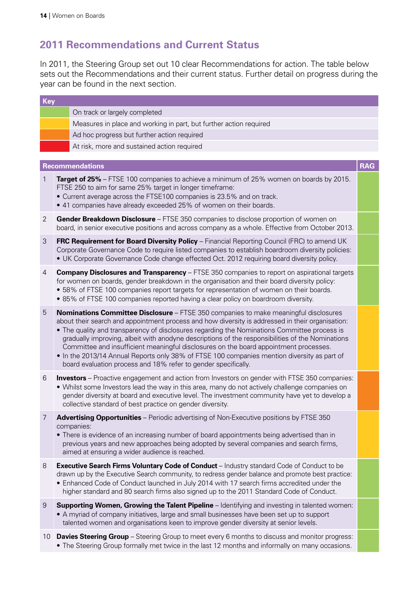# <span id="page-15-0"></span>**2011 Recommendations and Current Status**

In 2011, the Steering Group set out 10 clear Recommendations for action. The table below sets out the Recommendations and their current status. Further detail on progress during the year can be found in the next section.

| <b>Key</b>     |                                                                                                                                                                                                                                                                                                                                                                                                                                                                                                                                                                                                                                                        |            |
|----------------|--------------------------------------------------------------------------------------------------------------------------------------------------------------------------------------------------------------------------------------------------------------------------------------------------------------------------------------------------------------------------------------------------------------------------------------------------------------------------------------------------------------------------------------------------------------------------------------------------------------------------------------------------------|------------|
|                | On track or largely completed                                                                                                                                                                                                                                                                                                                                                                                                                                                                                                                                                                                                                          |            |
|                | Measures in place and working in part, but further action required                                                                                                                                                                                                                                                                                                                                                                                                                                                                                                                                                                                     |            |
|                | Ad hoc progress but further action required                                                                                                                                                                                                                                                                                                                                                                                                                                                                                                                                                                                                            |            |
|                | At risk, more and sustained action required                                                                                                                                                                                                                                                                                                                                                                                                                                                                                                                                                                                                            |            |
|                |                                                                                                                                                                                                                                                                                                                                                                                                                                                                                                                                                                                                                                                        |            |
|                | <b>Recommendations</b>                                                                                                                                                                                                                                                                                                                                                                                                                                                                                                                                                                                                                                 | <b>RAG</b> |
| $\mathbf{1}$   | Target of 25% – FTSE 100 companies to achieve a minimum of 25% women on boards by 2015.<br>FTSE 250 to aim for same 25% target in longer timeframe:<br>• Current average across the FTSE100 companies is 23.5% and on track.<br>• 41 companies have already exceeded 25% of women on their boards.                                                                                                                                                                                                                                                                                                                                                     |            |
| $\overline{2}$ | Gender Breakdown Disclosure - FTSE 350 companies to disclose proportion of women on<br>board, in senior executive positions and across company as a whole. Effective from October 2013.                                                                                                                                                                                                                                                                                                                                                                                                                                                                |            |
| 3              | FRC Requirement for Board Diversity Policy - Financial Reporting Council (FRC) to amend UK<br>Corporate Governance Code to require listed companies to establish boardroom diversity policies:<br>• UK Corporate Governance Code change effected Oct. 2012 requiring board diversity policy.                                                                                                                                                                                                                                                                                                                                                           |            |
| 4              | <b>Company Disclosures and Transparency</b> - FTSE 350 companies to report on aspirational targets<br>for women on boards, gender breakdown in the organisation and their board diversity policy:<br>• 58% of FTSE 100 companies report targets for representation of women on their boards.<br>• 85% of FTSE 100 companies reported having a clear policy on boardroom diversity.                                                                                                                                                                                                                                                                     |            |
| 5              | Nominations Committee Disclosure - FTSE 350 companies to make meaningful disclosures<br>about their search and appointment process and how diversity is addressed in their organisation:<br>• The quality and transparency of disclosures regarding the Nominations Committee process is<br>gradually improving, albeit with anodyne descriptions of the responsibilities of the Nominations<br>Committee and insufficient meaningful disclosures on the board appointment processes.<br>• In the 2013/14 Annual Reports only 38% of FTSE 100 companies mention diversity as part of<br>board evaluation process and 18% refer to gender specifically. |            |
| 6              | <b>Investors</b> – Proactive engagement and action from Investors on gender with FTSE 350 companies:<br>. Whilst some Investors lead the way in this area, many do not actively challenge companies on<br>gender diversity at board and executive level. The investment community have yet to develop a<br>collective standard of best practice on gender diversity.                                                                                                                                                                                                                                                                                   |            |
| 7              | <b>Advertising Opportunities</b> – Periodic advertising of Non-Executive positions by FTSE 350<br>companies:<br>• There is evidence of an increasing number of board appointments being advertised than in<br>previous years and new approaches being adopted by several companies and search firms,<br>aimed at ensuring a wider audience is reached.                                                                                                                                                                                                                                                                                                 |            |
| 8              | Executive Search Firms Voluntary Code of Conduct - Industry standard Code of Conduct to be<br>drawn up by the Executive Search community, to redress gender balance and promote best practice:<br>. Enhanced Code of Conduct launched in July 2014 with 17 search firms accredited under the<br>higher standard and 80 search firms also signed up to the 2011 Standard Code of Conduct.                                                                                                                                                                                                                                                               |            |
| 9              | <b>Supporting Women, Growing the Talent Pipeline</b> – Identifying and investing in talented women:<br>• A myriad of company initiatives, large and small businesses have been set up to support<br>talented women and organisations keen to improve gender diversity at senior levels.                                                                                                                                                                                                                                                                                                                                                                |            |
|                | 10 <b>Davies Steering Group</b> – Steering Group to meet every 6 months to discuss and monitor progress:<br>• The Steering Group formally met twice in the last 12 months and informally on many occasions.                                                                                                                                                                                                                                                                                                                                                                                                                                            |            |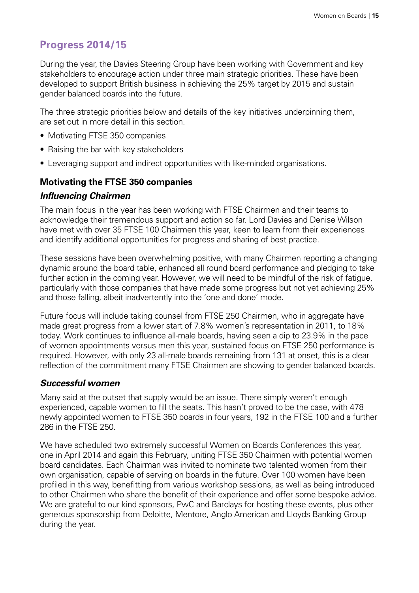# <span id="page-16-0"></span>**Progress 2014/15**

During the year, the Davies Steering Group have been working with Government and key stakeholders to encourage action under three main strategic priorities. These have been developed to support British business in achieving the 25% target by 2015 and sustain gender balanced boards into the future.

The three strategic priorities below and details of the key initiatives underpinning them, are set out in more detail in this section.

- Motivating FTSE 350 companies
- Raising the bar with key stakeholders
- Leveraging support and indirect opportunities with like-minded organisations.

## **Motivating the FTSE 350 companies**

#### *Influencing Chairmen*

The main focus in the year has been working with FTSE Chairmen and their teams to acknowledge their tremendous support and action so far. Lord Davies and Denise Wilson have met with over 35 FTSE 100 Chairmen this year, keen to learn from their experiences and identify additional opportunities for progress and sharing of best practice.

These sessions have been overwhelming positive, with many Chairmen reporting a changing dynamic around the board table, enhanced all round board performance and pledging to take further action in the coming year. However, we will need to be mindful of the risk of fatigue, particularly with those companies that have made some progress but not yet achieving 25% and those falling, albeit inadvertently into the 'one and done' mode.

Future focus will include taking counsel from FTSE 250 Chairmen, who in aggregate have made great progress from a lower start of 7.8% women's representation in 2011, to 18% today. Work continues to influence all-male boards, having seen a dip to 23.9% in the pace of women appointments versus men this year, sustained focus on FTSE 250 performance is required. However, with only 23 all-male boards remaining from 131 at onset, this is a clear reflection of the commitment many FTSE Chairmen are showing to gender balanced boards.

## *Successful women*

Many said at the outset that supply would be an issue. There simply weren't enough experienced, capable women to fill the seats. This hasn't proved to be the case, with 478 newly appointed women to FTSE 350 boards in four years, 192 in the FTSE 100 and a further 286 in the FTSE 250.

We have scheduled two extremely successful Women on Boards Conferences this year, one in April 2014 and again this February, uniting FTSE 350 Chairmen with potential women board candidates. Each Chairman was invited to nominate two talented women from their own organisation, capable of serving on boards in the future. Over 100 women have been profiled in this way, benefitting from various workshop sessions, as well as being introduced to other Chairmen who share the benefit of their experience and offer some bespoke advice. We are grateful to our kind sponsors, PwC and Barclays for hosting these events, plus other generous sponsorship from Deloitte, Mentore, Anglo American and Lloyds Banking Group during the year.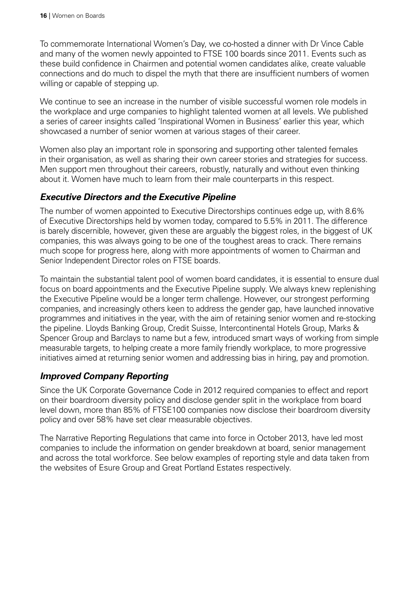To commemorate International Women's Day, we co-hosted a dinner with Dr Vince Cable and many of the women newly appointed to FTSE 100 boards since 2011. Events such as these build confidence in Chairmen and potential women candidates alike, create valuable connections and do much to dispel the myth that there are insufficient numbers of women willing or capable of stepping up.

We continue to see an increase in the number of visible successful women role models in the workplace and urge companies to highlight talented women at all levels. We published a series of career insights called 'Inspirational Women in Business' earlier this year, which showcased a number of senior women at various stages of their career.

Women also play an important role in sponsoring and supporting other talented females in their organisation, as well as sharing their own career stories and strategies for success. Men support men throughout their careers, robustly, naturally and without even thinking about it. Women have much to learn from their male counterparts in this respect.

# *Executive Directors and the Executive Pipeline*

The number of women appointed to Executive Directorships continues edge up, with 8.6% of Executive Directorships held by women today, compared to 5.5% in 2011. The difference is barely discernible, however, given these are arguably the biggest roles, in the biggest of UK companies, this was always going to be one of the toughest areas to crack. There remains much scope for progress here, along with more appointments of women to Chairman and Senior Independent Director roles on FTSE boards.

To maintain the substantial talent pool of women board candidates, it is essential to ensure dual focus on board appointments and the Executive Pipeline supply. We always knew replenishing the Executive Pipeline would be a longer term challenge. However, our strongest performing companies, and increasingly others keen to address the gender gap, have launched innovative programmes and initiatives in the year, with the aim of retaining senior women and re-stocking the pipeline. Lloyds Banking Group, Credit Suisse, Intercontinental Hotels Group, Marks & Spencer Group and Barclays to name but a few, introduced smart ways of working from simple measurable targets, to helping create a more family friendly workplace, to more progressive initiatives aimed at returning senior women and addressing bias in hiring, pay and promotion.

## *Improved Company Reporting*

Since the UK Corporate Governance Code in 2012 required companies to effect and report on their boardroom diversity policy and disclose gender split in the workplace from board level down, more than 85% of FTSE100 companies now disclose their boardroom diversity policy and over 58% have set clear measurable objectives.

The Narrative Reporting Regulations that came into force in October 2013, have led most companies to include the information on gender breakdown at board, senior management and across the total workforce. See below examples of reporting style and data taken from the websites of Esure Group and Great Portland Estates respectively.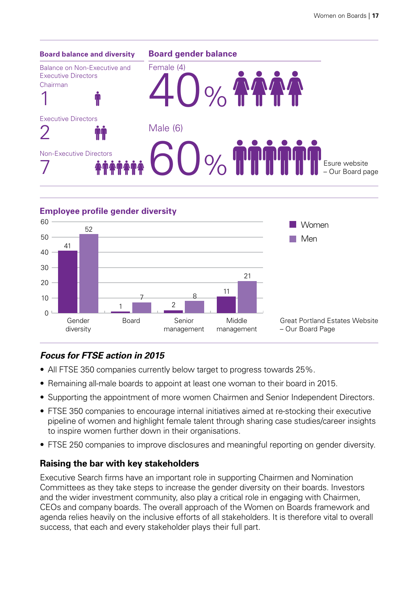



# *Focus for FTSE action in 2015*

- All FTSE 350 companies currently below target to progress towards 25%.
- Remaining all-male boards to appoint at least one woman to their board in 2015.
- Supporting the appointment of more women Chairmen and Senior Independent Directors.
- FTSE 350 companies to encourage internal initiatives aimed at re-stocking their executive pipeline of women and highlight female talent through sharing case studies/career insights to inspire women further down in their organisations.
- FTSE 250 companies to improve disclosures and meaningful reporting on gender diversity.

## **Raising the bar with key stakeholders**

Executive Search firms have an important role in supporting Chairmen and Nomination Committees as they take steps to increase the gender diversity on their boards. Investors and the wider investment community, also play a critical role in engaging with Chairmen, CEOs and company boards. The overall approach of the Women on Boards framework and agenda relies heavily on the inclusive efforts of all stakeholders. It is therefore vital to overall success, that each and every stakeholder plays their full part.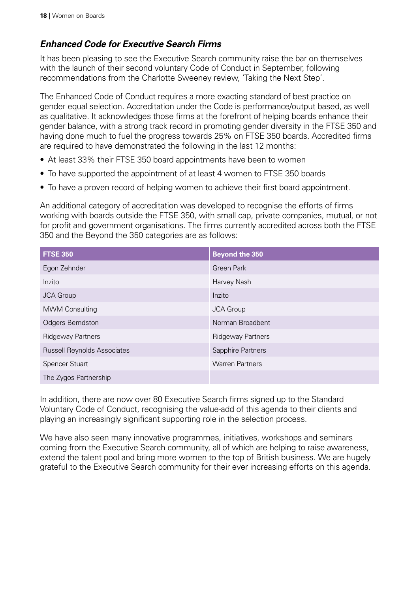# *Enhanced Code for Executive Search Firms*

It has been pleasing to see the Executive Search community raise the bar on themselves with the launch of their second voluntary Code of Conduct in September, following recommendations from the Charlotte Sweeney review, 'Taking the Next Step'.

The Enhanced Code of Conduct requires a more exacting standard of best practice on gender equal selection. Accreditation under the Code is performance/output based, as well as qualitative. It acknowledges those firms at the forefront of helping boards enhance their gender balance, with a strong track record in promoting gender diversity in the FTSE 350 and having done much to fuel the progress towards 25% on FTSE 350 boards. Accredited firms are required to have demonstrated the following in the last 12 months:

- At least 33% their FTSE 350 board appointments have been to women
- To have supported the appointment of at least 4 women to FTSE 350 boards
- To have a proven record of helping women to achieve their first board appointment.

An additional category of accreditation was developed to recognise the efforts of firms working with boards outside the FTSE 350, with small cap, private companies, mutual, or not for profit and government organisations. The firms currently accredited across both the FTSE 350 and the Beyond the 350 categories are as follows:

| <b>FTSE 350</b>                    | <b>Beyond the 350</b>    |
|------------------------------------|--------------------------|
| Egon Zehnder                       | <b>Green Park</b>        |
| Inzito                             | Harvey Nash              |
| <b>JCA Group</b>                   | Inzito                   |
| <b>MWM Consulting</b>              | <b>JCA Group</b>         |
| <b>Odgers Berndston</b>            | Norman Broadbent         |
| <b>Ridgeway Partners</b>           | <b>Ridgeway Partners</b> |
| <b>Russell Reynolds Associates</b> | Sapphire Partners        |
| <b>Spencer Stuart</b>              | <b>Warren Partners</b>   |
| The Zygos Partnership              |                          |

In addition, there are now over 80 Executive Search firms signed up to the Standard Voluntary Code of Conduct, recognising the value-add of this agenda to their clients and playing an increasingly significant supporting role in the selection process.

We have also seen many innovative programmes, initiatives, workshops and seminars coming from the Executive Search community, all of which are helping to raise awareness, extend the talent pool and bring more women to the top of British business. We are hugely grateful to the Executive Search community for their ever increasing efforts on this agenda.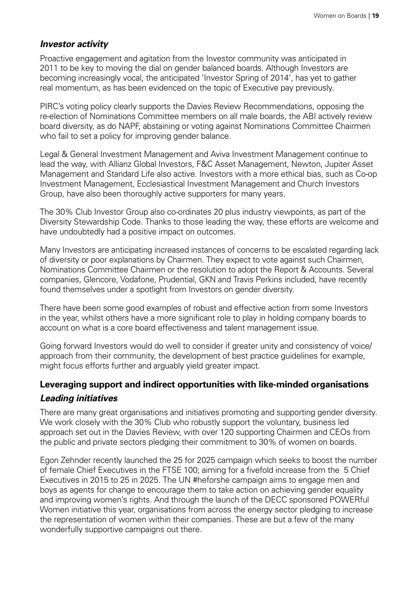#### *Investor activity*

Proactive engagement and agitation from the Investor community was anticipated in 2011 to be key to moving the dial on gender balanced boards. Although Investors are becoming increasingly vocal, the anticipated 'Investor Spring of 2014', has yet to gather real momentum, as has been evidenced on the topic of Executive pay previously.

PIRC's voting policy clearly supports the Davies Review Recommendations, opposing the re-election of Nominations Committee members on all male boards, the ABI actively review board diversity, as do NAPF, abstaining or voting against Nominations Committee Chairmen who fail to set a policy for improving gender balance.

Legal & General Investment Management and Aviva Investment Management continue to lead the way, with Allianz Global Investors, F&C Asset Management, Newton, Jupiter Asset Management and Standard Life also active. Investors with a more ethical bias, such as Co-op Investment Management, Ecclesiastical Investment Management and Church Investors Group, have also been thoroughly active supporters for many years.

The 30% Club Investor Group also co-ordinates 20 plus industry viewpoints, as part of the Diversity Stewardship Code. Thanks to those leading the way, these efforts are welcome and have undoubtedly had a positive impact on outcomes.

Many Investors are anticipating increased instances of concerns to be escalated regarding lack of diversity or poor explanations by Chairmen. They expect to vote against such Chairmen, Nominations Committee Chairmen or the resolution to adopt the Report & Accounts. Several companies, Glencore, Vodafone, Prudential, GKN and Travis Perkins included, have recently found themselves under a spotlight from Investors on gender diversity.

There have been some good examples of robust and effective action from some Investors in the year, whilst others have a more significant role to play in holding company boards to account on what is a core board effectiveness and talent management issue.

Going forward Investors would do well to consider if greater unity and consistency of voice/ approach from their community, the development of best practice guidelines for example, might focus efforts further and arguably yield greater impact.

# **Leveraging support and indirect opportunities with like-minded organisations**  *Leading initiatives*

There are many great organisations and initiatives promoting and supporting gender diversity. We work closely with the 30% Club who robustly support the voluntary, business led approach set out in the Davies Review, with over 120 supporting Chairmen and CEOs from the public and private sectors pledging their commitment to 30% of women on boards.

Egon Zehnder recently launched the 25 for 2025 campaign which seeks to boost the number of female Chief Executives in the FTSE 100; aiming for a fivefold increase from the 5 Chief Executives in 2015 to 25 in 2025. The UN #heforshe campaign aims to engage men and boys as agents for change to encourage them to take action on achieving gender equality and improving women's rights. And through the launch of the DECC sponsored POWERful Women initiative this year, organisations from across the energy sector pledging to increase the representation of women within their companies. These are but a few of the many wonderfully supportive campaigns out there.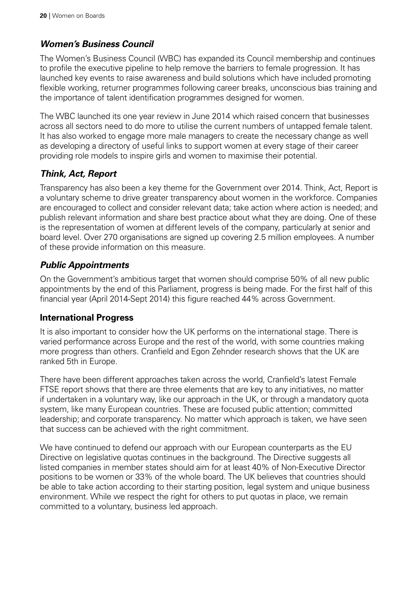# *Women's Business Council*

The Women's Business Council (WBC) has expanded its Council membership and continues to profile the executive pipeline to help remove the barriers to female progression. It has launched key events to raise awareness and build solutions which have included promoting flexible working, returner programmes following career breaks, unconscious bias training and the importance of talent identification programmes designed for women.

The WBC launched its one year review in June 2014 which raised concern that businesses across all sectors need to do more to utilise the current numbers of untapped female talent. It has also worked to engage more male managers to create the necessary change as well as developing a directory of useful links to support women at every stage of their career providing role models to inspire girls and women to maximise their potential.

# *Think, Act, Report*

Transparency has also been a key theme for the Government over 2014. Think, Act, Report is a voluntary scheme to drive greater transparency about women in the workforce. Companies are encouraged to collect and consider relevant data; take action where action is needed; and publish relevant information and share best practice about what they are doing. One of these is the representation of women at different levels of the company, particularly at senior and board level. Over 270 organisations are signed up covering 2.5 million employees. A number of these provide information on this measure.

# *Public Appointments*

On the Government's ambitious target that women should comprise 50% of all new public appointments by the end of this Parliament, progress is being made. For the first half of this financial year (April 2014-Sept 2014) this figure reached 44% across Government.

## **International Progress**

It is also important to consider how the UK performs on the international stage. There is varied performance across Europe and the rest of the world, with some countries making more progress than others. Cranfield and Egon Zehnder research shows that the UK are ranked 5th in Europe.

There have been different approaches taken across the world, Cranfield's latest Female FTSE report shows that there are three elements that are key to any initiatives, no matter if undertaken in a voluntary way, like our approach in the UK, or through a mandatory quota system, like many European countries. These are focused public attention; committed leadership; and corporate transparency. No matter which approach is taken, we have seen that success can be achieved with the right commitment.

We have continued to defend our approach with our European counterparts as the EU Directive on legislative quotas continues in the background. The Directive suggests all listed companies in member states should aim for at least 40% of Non-Executive Director positions to be women or 33% of the whole board. The UK believes that countries should be able to take action according to their starting position, legal system and unique business environment. While we respect the right for others to put quotas in place, we remain committed to a voluntary, business led approach.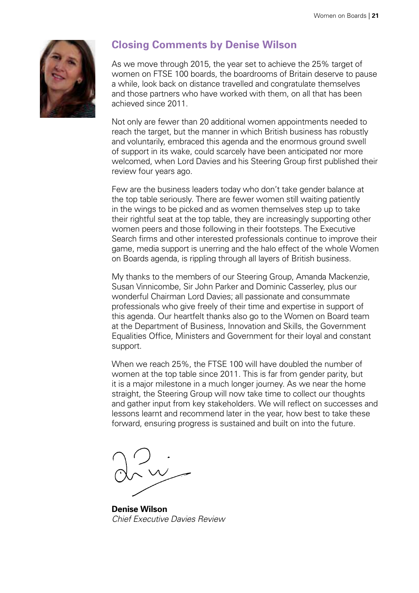<span id="page-22-0"></span>

# **Closing Comments by Denise Wilson**

As we move through 2015, the year set to achieve the 25% target of women on FTSE 100 boards, the boardrooms of Britain deserve to pause a while, look back on distance travelled and congratulate themselves and those partners who have worked with them, on all that has been achieved since 2011.

Not only are fewer than 20 additional women appointments needed to reach the target, but the manner in which British business has robustly and voluntarily, embraced this agenda and the enormous ground swell of support in its wake, could scarcely have been anticipated nor more welcomed, when Lord Davies and his Steering Group first published their review four years ago.

Few are the business leaders today who don't take gender balance at the top table seriously. There are fewer women still waiting patiently in the wings to be picked and as women themselves step up to take their rightful seat at the top table, they are increasingly supporting other women peers and those following in their footsteps. The Executive Search firms and other interested professionals continue to improve their game, media support is unerring and the halo effect of the whole Women on Boards agenda, is rippling through all layers of British business.

My thanks to the members of our Steering Group, Amanda Mackenzie, Susan Vinnicombe, Sir John Parker and Dominic Casserley, plus our wonderful Chairman Lord Davies; all passionate and consummate professionals who give freely of their time and expertise in support of this agenda. Our heartfelt thanks also go to the Women on Board team at the Department of Business, Innovation and Skills, the Government Equalities Office, Ministers and Government for their loyal and constant support.

When we reach 25%, the FTSE 100 will have doubled the number of women at the top table since 2011. This is far from gender parity, but it is a major milestone in a much longer journey. As we near the home straight, the Steering Group will now take time to collect our thoughts and gather input from key stakeholders. We will reflect on successes and lessons learnt and recommend later in the year, how best to take these forward, ensuring progress is sustained and built on into the future.

**Denise Wilson** *Chief Executive Davies Review*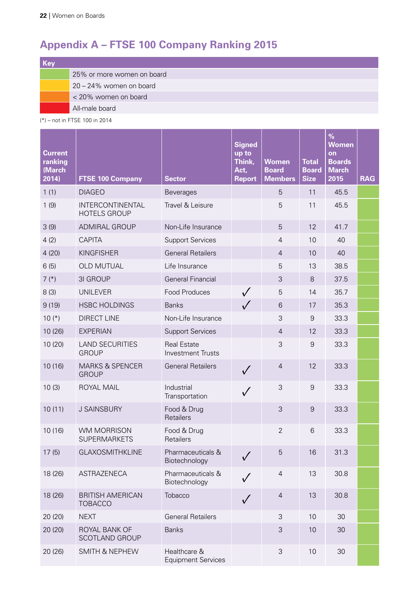# <span id="page-23-0"></span>**Appendix A – FTSE 100 Company Ranking 2015**

| Key |                            |
|-----|----------------------------|
|     | 25% or more women on board |
|     | 20 - 24% women on board    |
|     | < 20% women on board       |
|     | All-male board             |

(\*) – not in FTSE 100 in 2014

and the control

| <b>Current</b><br>ranking<br>(March<br>2014) | <b>FTSE 100 Company</b>                    | <b>Sector</b>                                  | <b>Signed</b><br>up to<br>Think,<br>Act,<br><b>Report</b> | <b>Women</b><br><b>Board</b><br><b>Members</b> | <b>Total</b><br><b>Board</b><br><b>Size</b> | $\frac{9}{6}$<br><b>Women</b><br>on<br><b>Boards</b><br><b>March</b><br>2015 | <b>RAG</b> |
|----------------------------------------------|--------------------------------------------|------------------------------------------------|-----------------------------------------------------------|------------------------------------------------|---------------------------------------------|------------------------------------------------------------------------------|------------|
| 1(1)                                         | <b>DIAGEO</b>                              | <b>Beverages</b>                               |                                                           | 5                                              | 11                                          | 45.5                                                                         |            |
| 1(9)                                         | INTERCONTINENTAL<br><b>HOTELS GROUP</b>    | Travel & Leisure                               |                                                           | 5                                              | 11                                          | 45.5                                                                         |            |
| 3(9)                                         | <b>ADMIRAL GROUP</b>                       | Non-Life Insurance                             |                                                           | 5                                              | 12                                          | 41.7                                                                         |            |
| 4(2)                                         | <b>CAPITA</b>                              | <b>Support Services</b>                        |                                                           | $\overline{4}$                                 | 10                                          | 40                                                                           |            |
| 4(20)                                        | <b>KINGFISHER</b>                          | <b>General Retailers</b>                       |                                                           | $\overline{4}$                                 | 10                                          | 40                                                                           |            |
| 6(5)                                         | OLD MUTUAL                                 | Life Insurance                                 |                                                           | 5                                              | 13                                          | 38.5                                                                         |            |
| $7(*)$                                       | 3I GROUP                                   | <b>General Financial</b>                       |                                                           | 3                                              | 8                                           | 37.5                                                                         |            |
| 8(3)                                         | <b>UNILEVER</b>                            | Food Produces                                  | $\sqrt{}$                                                 | 5                                              | 14                                          | 35.7                                                                         |            |
| 9(19)                                        | <b>HSBC HOLDINGS</b>                       | <b>Banks</b>                                   | $\sqrt{}$                                                 | 6                                              | 17                                          | 35.3                                                                         |            |
| $10(*)$                                      | <b>DIRECT LINE</b>                         | Non-Life Insurance                             |                                                           | 3                                              | $\overline{9}$                              | 33.3                                                                         |            |
| 10 (26)                                      | <b>EXPERIAN</b>                            | <b>Support Services</b>                        |                                                           | $\overline{4}$                                 | 12                                          | 33.3                                                                         |            |
| 10 (20)                                      | <b>LAND SECURITIES</b><br><b>GROUP</b>     | <b>Real Estate</b><br><b>Investment Trusts</b> |                                                           | 3                                              | 9                                           | 33.3                                                                         |            |
| 10 (16)                                      | <b>MARKS &amp; SPENCER</b><br><b>GROUP</b> | <b>General Retailers</b>                       | $\checkmark$                                              | $\overline{4}$                                 | 12                                          | 33.3                                                                         |            |
| 10(3)                                        | ROYAL MAIL                                 | Industrial<br>Transportation                   | $\checkmark$                                              | 3                                              | $\boldsymbol{9}$                            | 33.3                                                                         |            |
| 10(11)                                       | <b>J SAINSBURY</b>                         | Food & Drug<br><b>Retailers</b>                |                                                           | 3                                              | $\overline{9}$                              | 33.3                                                                         |            |
| 10 (16)                                      | <b>WM MORRISON</b><br><b>SUPERMARKETS</b>  | Food & Drug<br>Retailers                       |                                                           | $\overline{2}$                                 | 6                                           | 33.3                                                                         |            |
| 17(5)                                        | <b>GLAXOSMITHKLINE</b>                     | Pharmaceuticals &<br>Biotechnology             | $\checkmark$                                              | 5                                              | 16                                          | 31.3                                                                         |            |
| 18 (26)                                      | ASTRAZENECA                                | Pharmaceuticals &<br>Biotechnology             | $\checkmark$                                              | $\overline{4}$                                 | 13                                          | 30.8                                                                         |            |
| 18 (26)                                      | <b>BRITISH AMERICAN</b><br><b>TOBACCO</b>  | Tobacco                                        | $\sqrt{}$                                                 | $\overline{4}$                                 | 13                                          | 30.8                                                                         |            |
| 20 (20)                                      | <b>NEXT</b>                                | <b>General Retailers</b>                       |                                                           | $\mathfrak{S}$                                 | 10                                          | 30                                                                           |            |
| 20 (20)                                      | ROYAL BANK OF<br><b>SCOTLAND GROUP</b>     | <b>Banks</b>                                   |                                                           | 3                                              | 10                                          | 30                                                                           |            |
| 20 (26)                                      | <b>SMITH &amp; NEPHEW</b>                  | Healthcare &<br><b>Equipment Services</b>      |                                                           | $\mathsf 3$                                    | 10                                          | 30                                                                           |            |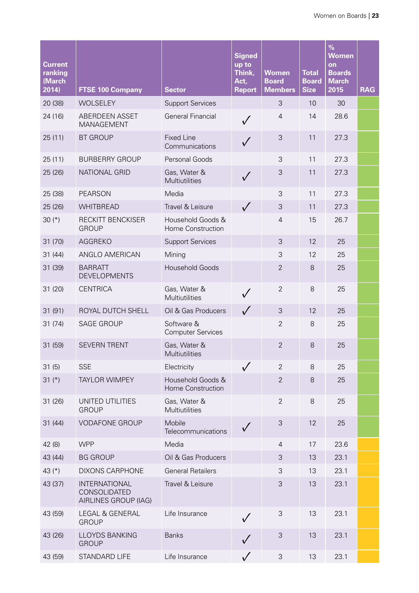| <b>Current</b><br>ranking<br>(March<br>2014) | <b>FTSE 100 Company</b>                                      | <b>Sector</b>                          | <b>Signed</b><br>up to<br>Think,<br>Act,<br><b>Report</b> | <b>Women</b><br><b>Board</b><br><b>Members</b> | <b>Total</b><br><b>Board</b><br><b>Size</b> | $\%$<br><b>Women</b><br>on<br><b>Boards</b><br><b>March</b><br>2015 | <b>RAG</b> |
|----------------------------------------------|--------------------------------------------------------------|----------------------------------------|-----------------------------------------------------------|------------------------------------------------|---------------------------------------------|---------------------------------------------------------------------|------------|
| 20 (38)                                      | <b>WOLSELEY</b>                                              | <b>Support Services</b>                |                                                           | 3                                              | 10                                          | 30                                                                  |            |
| 24 (16)                                      | ABERDEEN ASSET<br>MANAGEMENT                                 | <b>General Financial</b>               |                                                           | $\overline{4}$                                 | 14                                          | 28.6                                                                |            |
| 25(11)                                       | <b>BT GROUP</b>                                              | <b>Fixed Line</b><br>Communications    |                                                           | 3                                              | 11                                          | 27.3                                                                |            |
| 25(11)                                       | <b>BURBERRY GROUP</b>                                        | Personal Goods                         |                                                           | 3                                              | 11                                          | 27.3                                                                |            |
| 25 (26)                                      | NATIONAL GRID                                                | Gas, Water &<br>Multiutilities         | $\checkmark$                                              | 3                                              | 11                                          | 27.3                                                                |            |
| 25 (38)                                      | <b>PEARSON</b>                                               | Media                                  |                                                           | 3                                              | 11                                          | 27.3                                                                |            |
| 25 (26)                                      | <b>WHITBREAD</b>                                             | Travel & Leisure                       | $\sqrt{}$                                                 | 3                                              | 11                                          | 27.3                                                                |            |
| 30 $(*)$                                     | RECKITT BENCKISER<br><b>GROUP</b>                            | Household Goods &<br>Home Construction |                                                           | $\overline{4}$                                 | 15                                          | 26.7                                                                |            |
| 31 (70)                                      | AGGREKO                                                      | <b>Support Services</b>                |                                                           | 3                                              | 12                                          | 25                                                                  |            |
| 31(44)                                       | ANGLO AMERICAN                                               | Mining                                 |                                                           | 3                                              | 12                                          | 25                                                                  |            |
| 31 (39)                                      | <b>BARRATT</b><br><b>DEVELOPMENTS</b>                        | <b>Household Goods</b>                 |                                                           | $\overline{2}$                                 | 8                                           | 25                                                                  |            |
| 31 (20)                                      | <b>CENTRICA</b>                                              | Gas, Water &<br>Multiutilities         | $\checkmark$                                              | $\overline{2}$                                 | 8                                           | 25                                                                  |            |
| 31 (91)                                      | ROYAL DUTCH SHELL                                            | Oil & Gas Producers                    | $\sqrt{}$                                                 | 3                                              | 12                                          | 25                                                                  |            |
| 31(74)                                       | <b>SAGE GROUP</b>                                            | Software &<br><b>Computer Services</b> |                                                           | $\overline{2}$                                 | 8                                           | 25                                                                  |            |
| 31 (59)                                      | <b>SEVERN TRENT</b>                                          | Gas, Water &<br>Multiutilities         |                                                           | $\overline{2}$                                 | 8                                           | 25                                                                  |            |
| 31(5)                                        | <b>SSE</b>                                                   | Electricity                            |                                                           | $\overline{2}$                                 | 8                                           | 25                                                                  |            |
| 31 $(*)$                                     | <b>TAYLOR WIMPEY</b>                                         | Household Goods &<br>Home Construction |                                                           | $\overline{2}$                                 | 8                                           | 25                                                                  |            |
| 31 (26)                                      | UNITED UTILITIES<br><b>GROUP</b>                             | Gas, Water &<br>Multiutilities         |                                                           | $\overline{2}$                                 | 8                                           | 25                                                                  |            |
| 31(44)                                       | <b>VODAFONE GROUP</b>                                        | Mobile<br>Telecommunications           |                                                           | 3                                              | 12                                          | 25                                                                  |            |
| 42 (8)                                       | <b>WPP</b>                                                   | Media                                  |                                                           | $\overline{4}$                                 | 17                                          | 23.6                                                                |            |
| 43 (44)                                      | <b>BG GROUP</b>                                              | Oil & Gas Producers                    |                                                           | 3                                              | 13                                          | 23.1                                                                |            |
| 43 $(*)$                                     | <b>DIXONS CARPHONE</b>                                       | <b>General Retailers</b>               |                                                           | 3                                              | 13                                          | 23.1                                                                |            |
| 43 (37)                                      | <b>INTERNATIONAL</b><br>CONSOLIDATED<br>AIRLINES GROUP (IAG) | Travel & Leisure                       |                                                           | 3                                              | 13                                          | 23.1                                                                |            |
| 43 (59)                                      | LEGAL & GENERAL<br><b>GROUP</b>                              | Life Insurance                         | $\checkmark$                                              | 3                                              | 13                                          | 23.1                                                                |            |
| 43 (26)                                      | <b>LLOYDS BANKING</b><br><b>GROUP</b>                        | <b>Banks</b>                           | $\sqrt{}$                                                 | 3                                              | 13                                          | 23.1                                                                |            |
| 43 (59)                                      | STANDARD LIFE                                                | Life Insurance                         | $\checkmark$                                              | 3                                              | 13                                          | 23.1                                                                |            |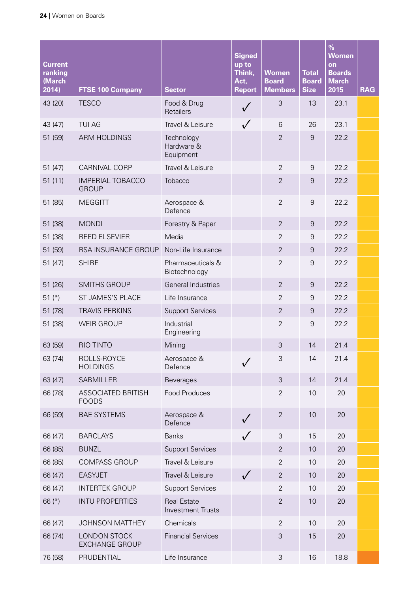| <b>Current</b><br>ranking<br>(March<br>2014) | <b>FTSE 100 Company</b>                      | <b>Sector</b>                                  | <b>Signed</b><br>up to<br>Think,<br>Act,<br><b>Report</b> | <b>Women</b><br><b>Board</b><br><b>Members</b> | <b>Total</b><br><b>Board</b><br><b>Size</b> | $\frac{9}{6}$<br><b>Women</b><br>on<br><b>Boards</b><br><b>March</b><br>2015 | <b>RAG</b> |
|----------------------------------------------|----------------------------------------------|------------------------------------------------|-----------------------------------------------------------|------------------------------------------------|---------------------------------------------|------------------------------------------------------------------------------|------------|
| 43 (20)                                      | <b>TESCO</b>                                 | Food & Drug<br>Retailers                       | $\checkmark$                                              | 3                                              | 13                                          | 23.1                                                                         |            |
| 43 (47)                                      | <b>TUI AG</b>                                | Travel & Leisure                               | $\sqrt{}$                                                 | 6                                              | 26                                          | 23.1                                                                         |            |
| 51 (59)                                      | <b>ARM HOLDINGS</b>                          | Technology<br>Hardware &<br>Equipment          |                                                           | $\overline{2}$                                 | $\overline{9}$                              | 22.2                                                                         |            |
| 51 (47)                                      | CARNIVAL CORP                                | Travel & Leisure                               |                                                           | $\overline{2}$                                 | $\overline{9}$                              | 22.2                                                                         |            |
| 51(11)                                       | <b>IMPERIAL TOBACCO</b><br><b>GROUP</b>      | Tobacco                                        |                                                           | $\overline{2}$                                 | 9                                           | 22.2                                                                         |            |
| 51 (85)                                      | <b>MEGGITT</b>                               | Aerospace &<br>Defence                         |                                                           | $\overline{2}$                                 | $\overline{9}$                              | 22.2                                                                         |            |
| 51 (38)                                      | <b>MONDI</b>                                 | Forestry & Paper                               |                                                           | $\overline{2}$                                 | $\overline{9}$                              | 22.2                                                                         |            |
| 51 (38)                                      | <b>REED ELSEVIER</b>                         | Media                                          |                                                           | $\overline{2}$                                 | 9                                           | 22.2                                                                         |            |
| 51 (59)                                      | RSA INSURANCE GROUP                          | Non-Life Insurance                             |                                                           | $\overline{2}$                                 | $\overline{9}$                              | 22.2                                                                         |            |
| 51(47)                                       | <b>SHIRE</b>                                 | Pharmaceuticals &<br>Biotechnology             |                                                           | $\overline{2}$                                 | $\overline{9}$                              | 22.2                                                                         |            |
| 51 (26)                                      | <b>SMITHS GROUP</b>                          | General Industries                             |                                                           | $\overline{2}$                                 | $\overline{9}$                              | 22.2                                                                         |            |
| 51 $(*)$                                     | ST JAMES'S PLACE                             | Life Insurance                                 |                                                           | $\overline{2}$                                 | $\overline{9}$                              | 22.2                                                                         |            |
| 51 (78)                                      | <b>TRAVIS PERKINS</b>                        | <b>Support Services</b>                        |                                                           | $\overline{2}$                                 | 9                                           | 22.2                                                                         |            |
| 51 (38)                                      | <b>WEIR GROUP</b>                            | Industrial<br>Engineering                      |                                                           | $\overline{2}$                                 | $\overline{9}$                              | 22.2                                                                         |            |
| 63 (59)                                      | <b>RIO TINTO</b>                             | Mining                                         |                                                           | 3                                              | 14                                          | 21.4                                                                         |            |
| 63 (74)                                      | ROLLS-ROYCE<br><b>HOLDINGS</b>               | Aerospace &<br>Defence                         |                                                           | 3                                              | 14                                          | 21.4                                                                         |            |
| 63 (47)                                      | <b>SABMILLER</b>                             | <b>Beverages</b>                               |                                                           | $\mathfrak{S}$                                 | 14                                          | 21.4                                                                         |            |
| 66 (78)                                      | <b>ASSOCIATED BRITISH</b><br><b>FOODS</b>    | <b>Food Produces</b>                           |                                                           | $\overline{2}$                                 | 10                                          | 20                                                                           |            |
| 66 (59)                                      | <b>BAE SYSTEMS</b>                           | Aerospace &<br>Defence                         | $\checkmark$                                              | $\overline{2}$                                 | 10                                          | 20                                                                           |            |
| 66 (47)                                      | <b>BARCLAYS</b>                              | <b>Banks</b>                                   | $\sqrt{}$                                                 | $\mathsf 3$                                    | 15                                          | 20                                                                           |            |
| 66 (85)                                      | <b>BUNZL</b>                                 | <b>Support Services</b>                        |                                                           | $\overline{2}$                                 | 10                                          | 20                                                                           |            |
| 66 (85)                                      | <b>COMPASS GROUP</b>                         | Travel & Leisure                               |                                                           | $\overline{2}$                                 | 10                                          | 20                                                                           |            |
| 66 (47)                                      | <b>EASYJET</b>                               | Travel & Leisure                               | $\sqrt{}$                                                 | $\mathbf{2}$                                   | 10                                          | 20                                                                           |            |
| 66 (47)                                      | <b>INTERTEK GROUP</b>                        | <b>Support Services</b>                        |                                                           | $\overline{2}$                                 | 10                                          | 20                                                                           |            |
| 66 $(*)$                                     | <b>INTU PROPERTIES</b>                       | <b>Real Estate</b><br><b>Investment Trusts</b> |                                                           | $\overline{2}$                                 | 10                                          | 20                                                                           |            |
| 66 (47)                                      | <b>JOHNSON MATTHEY</b>                       | Chemicals                                      |                                                           | $\overline{2}$                                 | 10                                          | 20                                                                           |            |
| 66 (74)                                      | <b>LONDON STOCK</b><br><b>EXCHANGE GROUP</b> | <b>Financial Services</b>                      |                                                           | 3                                              | 15                                          | 20                                                                           |            |
| 76 (58)                                      | PRUDENTIAL                                   | Life Insurance                                 |                                                           | 3                                              | 16                                          | 18.8                                                                         |            |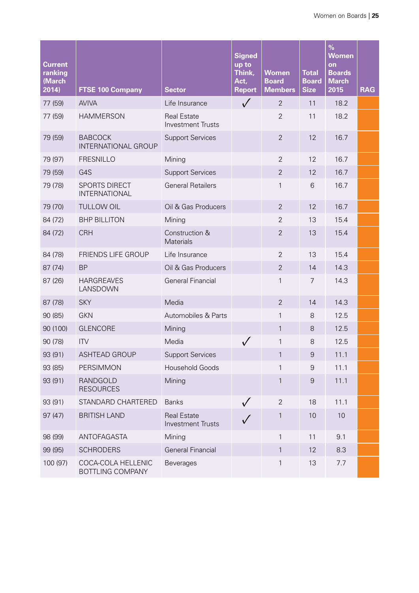| <b>Current</b><br>ranking<br>(March<br>2014) | <b>FTSE 100 Company</b>                       | <b>Sector</b>                                  | <b>Signed</b><br>up to<br>Think,<br>Act,<br><b>Report</b> | <b>Women</b><br><b>Board</b><br><b>Members</b> | <b>Total</b><br><b>Board</b><br><b>Size</b> | $\%$<br><b>Women</b><br>on<br><b>Boards</b><br><b>March</b><br>2015 | <b>RAG</b> |
|----------------------------------------------|-----------------------------------------------|------------------------------------------------|-----------------------------------------------------------|------------------------------------------------|---------------------------------------------|---------------------------------------------------------------------|------------|
| 77 (59)                                      | <b>AVIVA</b>                                  | Life Insurance                                 | $\sqrt{}$                                                 | $\overline{2}$                                 | 11                                          | 18.2                                                                |            |
| 77 (59)                                      | <b>HAMMERSON</b>                              | <b>Real Estate</b><br><b>Investment Trusts</b> |                                                           | $\overline{2}$                                 | 11                                          | 18.2                                                                |            |
| 79 (59)                                      | <b>BABCOCK</b><br><b>INTERNATIONAL GROUP</b>  | <b>Support Services</b>                        |                                                           | $\overline{2}$                                 | 12                                          | 16.7                                                                |            |
| 79 (97)                                      | <b>FRESNILLO</b>                              | Mining                                         |                                                           | $\overline{2}$                                 | 12                                          | 16.7                                                                |            |
| 79 (59)                                      | G4S                                           | <b>Support Services</b>                        |                                                           | $\overline{2}$                                 | 12                                          | 16.7                                                                |            |
| 79 (78)                                      | SPORTS DIRECT<br>INTERNATIONAL                | <b>General Retailers</b>                       |                                                           | 1                                              | 6                                           | 16.7                                                                |            |
| 79 (70)                                      | <b>TULLOW OIL</b>                             | Oil & Gas Producers                            |                                                           | $\overline{2}$                                 | 12                                          | 16.7                                                                |            |
| 84 (72)                                      | <b>BHP BILLITON</b>                           | Mining                                         |                                                           | $\overline{2}$                                 | 13                                          | 15.4                                                                |            |
| 84 (72)                                      | <b>CRH</b>                                    | Construction &<br><b>Materials</b>             |                                                           | $\overline{2}$                                 | 13                                          | 15.4                                                                |            |
| 84 (78)                                      | <b>FRIENDS LIFE GROUP</b>                     | Life Insurance                                 |                                                           | $\overline{2}$                                 | 13                                          | 15.4                                                                |            |
| 87 (74)                                      | <b>BP</b>                                     | Oil & Gas Producers                            |                                                           | $\overline{2}$                                 | 14                                          | 14.3                                                                |            |
| 87 (26)                                      | <b>HARGREAVES</b><br>LANSDOWN                 | <b>General Financial</b>                       |                                                           | 1                                              | $\overline{7}$                              | 14.3                                                                |            |
| 87 (78)                                      | <b>SKY</b>                                    | Media                                          |                                                           | $\overline{2}$                                 | 14                                          | 14.3                                                                |            |
| 90 (85)                                      | <b>GKN</b>                                    | Automobiles & Parts                            |                                                           | 1                                              | 8                                           | 12.5                                                                |            |
| 90 (100)                                     | <b>GLENCORE</b>                               | Mining                                         |                                                           | $\mathbf{1}$                                   | 8                                           | 12.5                                                                |            |
| 90 (78)                                      | <b>ITV</b>                                    | Media                                          |                                                           | 1                                              | 8                                           | 12.5                                                                |            |
| 93 (91)                                      | <b>ASHTEAD GROUP</b>                          | <b>Support Services</b>                        |                                                           | 1                                              | 9                                           | 11.1                                                                |            |
| 93 (85)                                      | PERSIMMON                                     | <b>Household Goods</b>                         |                                                           | 1                                              | 9                                           | 11.1                                                                |            |
| 93 (91)                                      | RANDGOLD<br><b>RESOURCES</b>                  | Mining                                         |                                                           | 1                                              | $\boldsymbol{9}$                            | 11.1                                                                |            |
| 93 (91)                                      | STANDARD CHARTERED                            | <b>Banks</b>                                   | $\checkmark$                                              | $\mathbf{2}$                                   | 18                                          | 11.1                                                                |            |
| 97(47)                                       | <b>BRITISH LAND</b>                           | <b>Real Estate</b><br><b>Investment Trusts</b> |                                                           | 1                                              | 10                                          | 10                                                                  |            |
| 98 (99)                                      | ANTOFAGASTA                                   | Mining                                         |                                                           | $\mathbf{1}$                                   | 11                                          | 9.1                                                                 |            |
| 99 (95)                                      | <b>SCHRODERS</b>                              | <b>General Financial</b>                       |                                                           | 1                                              | 12                                          | 8.3                                                                 |            |
| 100 (97)                                     | COCA-COLA HELLENIC<br><b>BOTTLING COMPANY</b> | <b>Beverages</b>                               |                                                           | 1                                              | 13                                          | 7.7                                                                 |            |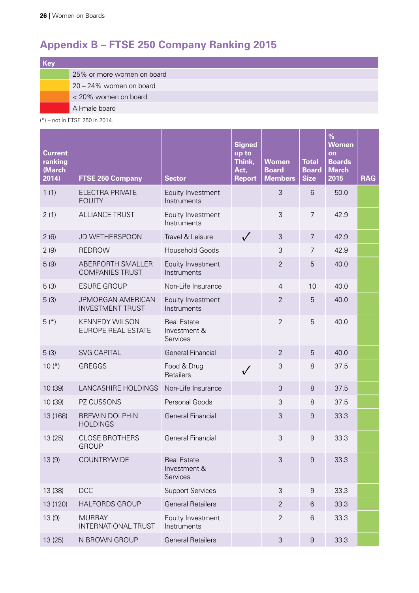# <span id="page-27-0"></span>**Appendix B – FTSE 250 Company Ranking 2015**

| Key |                            |
|-----|----------------------------|
|     | 25% or more women on board |
|     | 20 - 24% women on board    |
|     | < 20% women on board       |
|     | All-male board             |

(\*) – not in FTSE 250 in 2014.

| <b>Current</b><br>ranking<br>(March<br>2014) | <b>FTSE 250 Company</b>                             | <b>Sector</b>                                  | <b>Signed</b><br>up to<br>Think,<br>Act,<br><b>Report</b> | <b>Women</b><br><b>Board</b><br><b>Members</b> | <b>Total</b><br><b>Board</b><br><b>Size</b> | $\%$<br><b>Women</b><br>on<br><b>Boards</b><br><b>March</b><br>2015 | <b>RAG</b> |
|----------------------------------------------|-----------------------------------------------------|------------------------------------------------|-----------------------------------------------------------|------------------------------------------------|---------------------------------------------|---------------------------------------------------------------------|------------|
| 1(1)                                         | ELECTRA PRIVATE<br><b>EQUITY</b>                    | Equity Investment<br>Instruments               |                                                           | 3                                              | 6                                           | 50.0                                                                |            |
| 2(1)                                         | <b>ALLIANCE TRUST</b>                               | Equity Investment<br>Instruments               |                                                           | 3                                              | $\overline{7}$                              | 42.9                                                                |            |
| 2(6)                                         | JD WETHERSPOON                                      | Travel & Leisure                               | $\sqrt{}$                                                 | 3                                              | $\overline{7}$                              | 42.9                                                                |            |
| 2(9)                                         | <b>REDROW</b>                                       | <b>Household Goods</b>                         |                                                           | 3                                              | $\overline{7}$                              | 42.9                                                                |            |
| 5(9)                                         | ABERFORTH SMALLER<br><b>COMPANIES TRUST</b>         | Equity Investment<br>Instruments               |                                                           | $\overline{2}$                                 | 5                                           | 40.0                                                                |            |
| 5(3)                                         | <b>ESURE GROUP</b>                                  | Non-Life Insurance                             |                                                           | $\overline{4}$                                 | 10                                          | 40.0                                                                |            |
| 5(3)                                         | <b>JPMORGAN AMERICAN</b><br><b>INVESTMENT TRUST</b> | Equity Investment<br>Instruments               |                                                           | $\overline{2}$                                 | 5                                           | 40.0                                                                |            |
| $5(*)$                                       | <b>KENNEDY WILSON</b><br><b>EUROPE REAL ESTATE</b>  | <b>Real Estate</b><br>Investment &<br>Services |                                                           | $\overline{2}$                                 | 5                                           | 40.0                                                                |            |
| 5(3)                                         | <b>SVG CAPITAL</b>                                  | <b>General Financial</b>                       |                                                           | $\overline{2}$                                 | 5                                           | 40.0                                                                |            |
| $10(*)$                                      | GREGGS                                              | Food & Drug<br>Retailers                       | $\checkmark$                                              | 3                                              | 8                                           | 37.5                                                                |            |
| 10 (39)                                      | LANCASHIRE HOLDINGS                                 | Non-Life Insurance                             |                                                           | 3                                              | 8                                           | 37.5                                                                |            |
| 10 (39)                                      | PZ CUSSONS                                          | Personal Goods                                 |                                                           | 3                                              | 8                                           | 37.5                                                                |            |
| 13 (168)                                     | <b>BREWIN DOLPHIN</b><br><b>HOLDINGS</b>            | <b>General Financial</b>                       |                                                           | 3                                              | $\overline{9}$                              | 33.3                                                                |            |
| 13 (25)                                      | <b>CLOSE BROTHERS</b><br><b>GROUP</b>               | <b>General Financial</b>                       |                                                           | 3                                              | $\mathcal{G}$                               | 33.3                                                                |            |
| 13(9)                                        | COUNTRYWIDE                                         | <b>Real Estate</b><br>Investment &<br>Services |                                                           | 3                                              | $\overline{9}$                              | 33.3                                                                |            |
| 13 (38)                                      | <b>DCC</b>                                          | <b>Support Services</b>                        |                                                           | 3                                              | $\boldsymbol{9}$                            | 33.3                                                                |            |
| 13 (120)                                     | <b>HALFORDS GROUP</b>                               | <b>General Retailers</b>                       |                                                           | 2                                              | 6                                           | 33.3                                                                |            |
| 13 (9)                                       | <b>MURRAY</b><br>INTERNATIONAL TRUST                | Equity Investment<br>Instruments               |                                                           | $\overline{2}$                                 | 6                                           | 33.3                                                                |            |
| 13 (25)                                      | N BROWN GROUP                                       | <b>General Retailers</b>                       |                                                           | 3                                              | 9                                           | 33.3                                                                |            |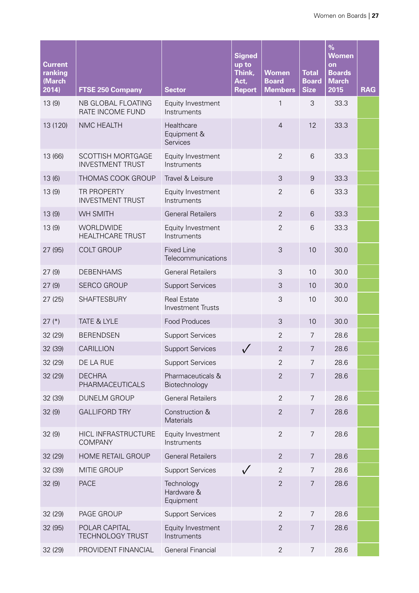| <b>Current</b><br>ranking<br>(March<br>2014) | <b>FTSE 250 Company</b>                             | <b>Sector</b>                                  | <b>Signed</b><br>up to<br>Think,<br>Act,<br><b>Report</b> | <b>Women</b><br><b>Board</b><br><b>Members</b> | <b>Total</b><br><b>Board</b><br><b>Size</b> | $\%$<br><b>Women</b><br>on<br><b>Boards</b><br><b>March</b><br>2015 | <b>RAG</b> |
|----------------------------------------------|-----------------------------------------------------|------------------------------------------------|-----------------------------------------------------------|------------------------------------------------|---------------------------------------------|---------------------------------------------------------------------|------------|
| 13(9)                                        | NB GLOBAL FLOATING<br>RATE INCOME FUND              | Equity Investment<br>Instruments               |                                                           | 1                                              | 3                                           | 33.3                                                                |            |
| 13 (120)                                     | NMC HEALTH                                          | Healthcare<br>Equipment &<br>Services          |                                                           | $\overline{4}$                                 | 12                                          | 33.3                                                                |            |
| 13 (66)                                      | <b>SCOTTISH MORTGAGE</b><br><b>INVESTMENT TRUST</b> | Equity Investment<br>Instruments               |                                                           | $\overline{2}$                                 | 6                                           | 33.3                                                                |            |
| 13(6)                                        | THOMAS COOK GROUP                                   | Travel & Leisure                               |                                                           | 3                                              | $9\,$                                       | 33.3                                                                |            |
| 13(9)                                        | <b>TR PROPERTY</b><br><b>INVESTMENT TRUST</b>       | Equity Investment<br>Instruments               |                                                           | $\overline{2}$                                 | 6                                           | 33.3                                                                |            |
| 13(9)                                        | <b>WH SMITH</b>                                     | <b>General Retailers</b>                       |                                                           | $\overline{2}$                                 | 6                                           | 33.3                                                                |            |
| 13(9)                                        | WORLDWIDE<br><b>HEALTHCARE TRUST</b>                | Equity Investment<br>Instruments               |                                                           | $\overline{2}$                                 | 6                                           | 33.3                                                                |            |
| 27 (95)                                      | <b>COLT GROUP</b>                                   | <b>Fixed Line</b><br>Telecommunications        |                                                           | 3                                              | 10                                          | 30.0                                                                |            |
| 27(9)                                        | <b>DEBENHAMS</b>                                    | <b>General Retailers</b>                       |                                                           | 3                                              | 10                                          | 30.0                                                                |            |
| 27(9)                                        | <b>SERCO GROUP</b>                                  | <b>Support Services</b>                        |                                                           | 3                                              | 10                                          | 30.0                                                                |            |
| 27(25)                                       | <b>SHAFTESBURY</b>                                  | <b>Real Estate</b><br><b>Investment Trusts</b> |                                                           | 3                                              | 10                                          | 30.0                                                                |            |
| $27$ (*)                                     | <b>TATE &amp; LYLE</b>                              | <b>Food Produces</b>                           |                                                           | 3                                              | 10                                          | 30.0                                                                |            |
| 32 (29)                                      | <b>BERENDSEN</b>                                    | <b>Support Services</b>                        |                                                           | $\overline{2}$                                 | 7                                           | 28.6                                                                |            |
| 32 (39)                                      | CARILLION                                           | <b>Support Services</b>                        |                                                           | $\overline{2}$                                 | 7                                           | 28.6                                                                |            |
| 32 (29)                                      | DE LA RUE                                           | <b>Support Services</b>                        |                                                           | $\overline{2}$                                 | $\overline{7}$                              | 28.6                                                                |            |
| 32 (29)                                      | <b>DECHRA</b><br>PHARMACEUTICALS                    | Pharmaceuticals &<br>Biotechnology             |                                                           | $\overline{2}$                                 | $\overline{7}$                              | 28.6                                                                |            |
| 32 (39)                                      | <b>DUNELM GROUP</b>                                 | <b>General Retailers</b>                       |                                                           | $\overline{2}$                                 | $\overline{7}$                              | 28.6                                                                |            |
| 32(9)                                        | <b>GALLIFORD TRY</b>                                | Construction &<br>Materials                    |                                                           | $\overline{2}$                                 | $\overline{7}$                              | 28.6                                                                |            |
| 32(9)                                        | HICL INFRASTRUCTURE<br><b>COMPANY</b>               | Equity Investment<br>Instruments               |                                                           | $\overline{2}$                                 | $\overline{7}$                              | 28.6                                                                |            |
| 32 (29)                                      | HOME RETAIL GROUP                                   | <b>General Retailers</b>                       |                                                           | $\overline{2}$                                 | 7                                           | 28.6                                                                |            |
| 32 (39)                                      | MITIE GROUP                                         | <b>Support Services</b>                        | $\sqrt{}$                                                 | $\overline{2}$                                 | 7                                           | 28.6                                                                |            |
| 32(9)                                        | <b>PACE</b>                                         | Technology<br>Hardware &<br>Equipment          |                                                           | $\overline{2}$                                 | $\overline{7}$                              | 28.6                                                                |            |
| 32 (29)                                      | PAGE GROUP                                          | <b>Support Services</b>                        |                                                           | $\overline{2}$                                 | $\overline{7}$                              | 28.6                                                                |            |
| 32 (95)                                      | POLAR CAPITAL<br><b>TECHNOLOGY TRUST</b>            | Equity Investment<br>Instruments               |                                                           | $\overline{2}$                                 | $\overline{7}$                              | 28.6                                                                |            |
| 32 (29)                                      | PROVIDENT FINANCIAL                                 | <b>General Financial</b>                       |                                                           | $\overline{2}$                                 | $\overline{7}$                              | 28.6                                                                |            |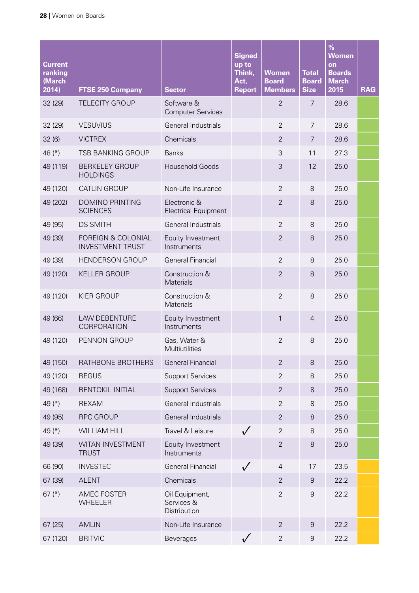| <b>Current</b><br>ranking<br>(March<br>2014) | <b>FTSE 250 Company</b>                                  | <b>Sector</b>                                | <b>Signed</b><br>up to<br>Think,<br>Act,<br><b>Report</b> | <b>Women</b><br><b>Board</b><br><b>Members</b> | <b>Total</b><br><b>Board</b><br><b>Size</b> | $\%$<br><b>Women</b><br>on<br><b>Boards</b><br><b>March</b><br>2015 | <b>RAG</b> |
|----------------------------------------------|----------------------------------------------------------|----------------------------------------------|-----------------------------------------------------------|------------------------------------------------|---------------------------------------------|---------------------------------------------------------------------|------------|
| 32 (29)                                      | <b>TELECITY GROUP</b>                                    | Software &<br><b>Computer Services</b>       |                                                           | $\overline{2}$                                 | 7                                           | 28.6                                                                |            |
| 32 (29)                                      | <b>VESUVIUS</b>                                          | <b>General Industrials</b>                   |                                                           | $\overline{2}$                                 | $\overline{7}$                              | 28.6                                                                |            |
| 32(6)                                        | <b>VICTREX</b>                                           | Chemicals                                    |                                                           | $\overline{2}$                                 | $\overline{7}$                              | 28.6                                                                |            |
| 48 $(*)$                                     | <b>TSB BANKING GROUP</b>                                 | <b>Banks</b>                                 |                                                           | 3                                              | 11                                          | 27.3                                                                |            |
| 49 (119)                                     | <b>BERKELEY GROUP</b><br><b>HOLDINGS</b>                 | <b>Household Goods</b>                       |                                                           | 3                                              | 12                                          | 25.0                                                                |            |
| 49 (120)                                     | <b>CATLIN GROUP</b>                                      | Non-Life Insurance                           |                                                           | $\overline{2}$                                 | 8                                           | 25.0                                                                |            |
| 49 (202)                                     | <b>DOMINO PRINTING</b><br><b>SCIENCES</b>                | Electronic &<br><b>Electrical Equipment</b>  |                                                           | $\overline{2}$                                 | 8                                           | 25.0                                                                |            |
| 49 (95)                                      | <b>DS SMITH</b>                                          | General Industrials                          |                                                           | $\overline{2}$                                 | 8                                           | 25.0                                                                |            |
| 49 (39)                                      | <b>FOREIGN &amp; COLONIAL</b><br><b>INVESTMENT TRUST</b> | Equity Investment<br>Instruments             |                                                           | $\overline{2}$                                 | 8                                           | 25.0                                                                |            |
| 49 (39)                                      | <b>HENDERSON GROUP</b>                                   | <b>General Financial</b>                     |                                                           | $\overline{2}$                                 | 8                                           | 25.0                                                                |            |
| 49 (120)                                     | <b>KELLER GROUP</b>                                      | Construction &<br>Materials                  |                                                           | $\overline{2}$                                 | 8                                           | 25.0                                                                |            |
| 49 (120)                                     | <b>KIER GROUP</b>                                        | Construction &<br>Materials                  |                                                           | $\overline{2}$                                 | 8                                           | 25.0                                                                |            |
| 49 (66)                                      | <b>LAW DEBENTURE</b><br>CORPORATION                      | Equity Investment<br>Instruments             |                                                           | 1                                              | $\overline{4}$                              | 25.0                                                                |            |
| 49 (120)                                     | PENNON GROUP                                             | Gas, Water &<br>Multiutilities               |                                                           | $\overline{2}$                                 | 8                                           | 25.0                                                                |            |
| 49 (150)                                     | RATHBONE BROTHERS                                        | <b>General Financial</b>                     |                                                           | $\overline{2}$                                 | 8                                           | 25.0                                                                |            |
| 49 (120)                                     | <b>REGUS</b>                                             | <b>Support Services</b>                      |                                                           | $\overline{2}$                                 | $8\,$                                       | 25.0                                                                |            |
| 49 (168)                                     | RENTOKIL INITIAL                                         | <b>Support Services</b>                      |                                                           | $\overline{2}$                                 | $8\,$                                       | 25.0                                                                |            |
| 49 $(*)$                                     | <b>REXAM</b>                                             | General Industrials                          |                                                           | $\overline{2}$                                 | $\,8\,$                                     | 25.0                                                                |            |
| 49 (95)                                      | <b>RPC GROUP</b>                                         | General Industrials                          |                                                           | $\overline{2}$                                 | 8                                           | 25.0                                                                |            |
| 49 (*)                                       | <b>WILLIAM HILL</b>                                      | Travel & Leisure                             | $\sqrt{}$                                                 | $\overline{2}$                                 | $8\,$                                       | 25.0                                                                |            |
| 49 (39)                                      | WITAN INVESTMENT<br><b>TRUST</b>                         | Equity Investment<br>Instruments             |                                                           | $\mathbf{2}$                                   | $8\,$                                       | 25.0                                                                |            |
| 66 (90)                                      | <b>INVESTEC</b>                                          | <b>General Financial</b>                     | $\sqrt{}$                                                 | $\overline{4}$                                 | 17                                          | 23.5                                                                |            |
| 67 (39)                                      | <b>ALENT</b>                                             | Chemicals                                    |                                                           | $\overline{2}$                                 | 9                                           | 22.2                                                                |            |
| 67 $(*)$                                     | AMEC FOSTER<br><b>WHEELER</b>                            | Oil Equipment,<br>Services &<br>Distribution |                                                           | $\overline{2}$                                 | $\boldsymbol{9}$                            | 22.2                                                                |            |
| 67 (25)                                      | <b>AMLIN</b>                                             | Non-Life Insurance                           |                                                           | $\overline{2}$                                 | $\boldsymbol{9}$                            | 22.2                                                                |            |
| 67 (120)                                     | <b>BRITVIC</b>                                           | Beverages                                    |                                                           | $\overline{2}$                                 | $\boldsymbol{9}$                            | 22.2                                                                |            |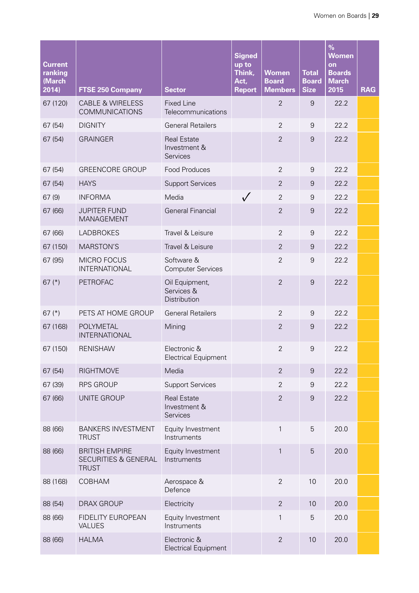| <b>Current</b><br>ranking<br>(March<br>2014) | <b>FTSE 250 Company</b>                                       | <b>Sector</b>                                  | <b>Signed</b><br>up to<br>Think,<br>Act,<br><b>Report</b> | Women<br><b>Board</b><br><b>Members</b> | <b>Total</b><br><b>Board</b><br><b>Size</b> | $\%$<br><b>Women</b><br>on<br><b>Boards</b><br><b>March</b><br>2015 | <b>RAG</b> |
|----------------------------------------------|---------------------------------------------------------------|------------------------------------------------|-----------------------------------------------------------|-----------------------------------------|---------------------------------------------|---------------------------------------------------------------------|------------|
| 67 (120)                                     | <b>CABLE &amp; WIRELESS</b><br><b>COMMUNICATIONS</b>          | <b>Fixed Line</b><br>Telecommunications        |                                                           | $\overline{2}$                          | $\overline{9}$                              | 22.2                                                                |            |
| 67(54)                                       | <b>DIGNITY</b>                                                | <b>General Retailers</b>                       |                                                           | $\overline{2}$                          | $\mathsf 9$                                 | 22.2                                                                |            |
| 67(54)                                       | <b>GRAINGER</b>                                               | <b>Real Estate</b><br>Investment &<br>Services |                                                           | $\overline{2}$                          | $\overline{9}$                              | 22.2                                                                |            |
| 67 (54)                                      | <b>GREENCORE GROUP</b>                                        | Food Produces                                  |                                                           | $\overline{2}$                          | $\mathcal{G}$                               | 22.2                                                                |            |
| 67 (54)                                      | <b>HAYS</b>                                                   | <b>Support Services</b>                        |                                                           | $\overline{2}$                          | 9                                           | 22.2                                                                |            |
| 67(9)                                        | <b>INFORMA</b>                                                | Media                                          | $\sqrt{}$                                                 | $\overline{2}$                          | $\overline{9}$                              | 22.2                                                                |            |
| 67 (66)                                      | <b>JUPITER FUND</b><br><b>MANAGEMENT</b>                      | <b>General Financial</b>                       |                                                           | $\overline{2}$                          | $\mathbf 9$                                 | 22.2                                                                |            |
| 67 (66)                                      | <b>LADBROKES</b>                                              | Travel & Leisure                               |                                                           | $\overline{2}$                          | $\mathcal{G}$                               | 22.2                                                                |            |
| 67 (150)                                     | <b>MARSTON'S</b>                                              | Travel & Leisure                               |                                                           | $\overline{2}$                          | $\overline{9}$                              | 22.2                                                                |            |
| 67 (95)                                      | MICRO FOCUS<br><b>INTERNATIONAL</b>                           | Software &<br><b>Computer Services</b>         |                                                           | $\overline{2}$                          | $\overline{9}$                              | 22.2                                                                |            |
| 67 $(*)$                                     | <b>PETROFAC</b>                                               | Oil Equipment,<br>Services &<br>Distribution   |                                                           | $\overline{2}$                          | 9                                           | 22.2                                                                |            |
| 67 $(*)$                                     | PETS AT HOME GROUP                                            | <b>General Retailers</b>                       |                                                           | $\overline{2}$                          | 9                                           | 22.2                                                                |            |
| 67 (168)                                     | POLYMETAL<br>INTERNATIONAL                                    | Mining                                         |                                                           | $\overline{2}$                          | $\overline{9}$                              | 22.2                                                                |            |
| 67 (150)                                     | <b>RENISHAW</b>                                               | Electronic &<br><b>Electrical Equipment</b>    |                                                           | $\overline{2}$                          | $\overline{9}$                              | 22.2                                                                |            |
| 67 (54)                                      | <b>RIGHTMOVE</b>                                              | Media                                          |                                                           | $\overline{2}$                          | $\overline{9}$                              | 22.2                                                                |            |
| 67 (39)                                      | <b>RPS GROUP</b>                                              | <b>Support Services</b>                        |                                                           | $\overline{2}$                          | $\mathcal{G}$                               | 22.2                                                                |            |
| 67 (66)                                      | UNITE GROUP                                                   | <b>Real Estate</b><br>Investment &<br>Services |                                                           | $\overline{2}$                          | $\overline{9}$                              | 22.2                                                                |            |
| 88 (66)                                      | <b>BANKERS INVESTMENT</b><br><b>TRUST</b>                     | Equity Investment<br>Instruments               |                                                           | $\mathbf{1}$                            | 5                                           | 20.0                                                                |            |
| 88 (66)                                      | <b>BRITISH EMPIRE</b><br>SECURITIES & GENERAL<br><b>TRUST</b> | Equity Investment<br>Instruments               |                                                           | $\mathbf{1}$                            | 5                                           | 20.0                                                                |            |
| 88 (168)                                     | COBHAM                                                        | Aerospace &<br>Defence                         |                                                           | $\overline{2}$                          | 10                                          | 20.0                                                                |            |
| 88 (54)                                      | <b>DRAX GROUP</b>                                             | Electricity                                    |                                                           | $\overline{2}$                          | 10                                          | 20.0                                                                |            |
| 88 (66)                                      | <b>FIDELITY EUROPEAN</b><br><b>VALUES</b>                     | Equity Investment<br>Instruments               |                                                           | 1                                       | 5                                           | 20.0                                                                |            |
| 88 (66)                                      | <b>HALMA</b>                                                  | Electronic &<br><b>Electrical Equipment</b>    |                                                           | $\overline{2}$                          | 10                                          | 20.0                                                                |            |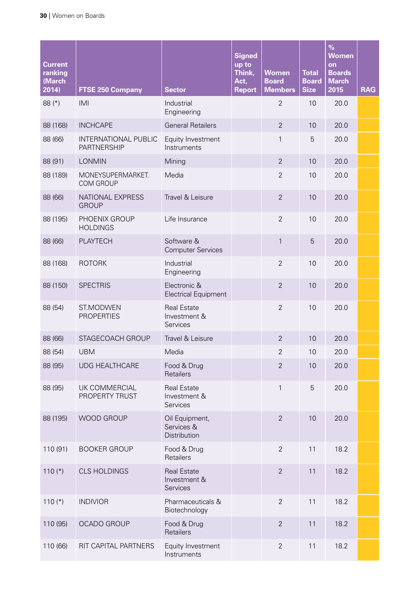| <b>Current</b><br>ranking<br>(March<br>2014) | <b>FTSE 250 Company</b>                           | <b>Sector</b>                                  | <b>Signed</b><br>up to<br>Think,<br>Act,<br><b>Report</b> | <b>Women</b><br><b>Board</b><br><b>Members</b> | <b>Total</b><br><b>Board</b><br><b>Size</b> | $\%$<br><b>Women</b><br>on<br><b>Boards</b><br><b>March</b><br>2015 | <b>RAG</b> |
|----------------------------------------------|---------------------------------------------------|------------------------------------------------|-----------------------------------------------------------|------------------------------------------------|---------------------------------------------|---------------------------------------------------------------------|------------|
| 88 (*)                                       | IMI                                               | Industrial<br>Engineering                      |                                                           | $\overline{2}$                                 | 10                                          | 20.0                                                                |            |
| 88 (168)                                     | <b>INCHCAPE</b>                                   | <b>General Retailers</b>                       |                                                           | $\overline{2}$                                 | 10                                          | 20.0                                                                |            |
| 88 (66)                                      | <b>INTERNATIONAL PUBLIC</b><br><b>PARTNERSHIP</b> | Equity Investment<br>Instruments               |                                                           | 1                                              | 5                                           | 20.0                                                                |            |
| 88 (91)                                      | <b>LONMIN</b>                                     | Mining                                         |                                                           | $\overline{2}$                                 | 10                                          | 20.0                                                                |            |
| 88 (189)                                     | MONEYSUPERMARKET.<br><b>COM GROUP</b>             | Media                                          |                                                           | $\overline{2}$                                 | 10                                          | 20.0                                                                |            |
| 88 (66)                                      | NATIONAL EXPRESS<br><b>GROUP</b>                  | Travel & Leisure                               |                                                           | $\overline{2}$                                 | 10                                          | 20.0                                                                |            |
| 88 (195)                                     | PHOENIX GROUP<br><b>HOLDINGS</b>                  | Life Insurance                                 |                                                           | $\overline{2}$                                 | 10                                          | 20.0                                                                |            |
| 88 (66)                                      | PLAYTECH                                          | Software &<br><b>Computer Services</b>         |                                                           | $\mathbf{1}$                                   | 5                                           | 20.0                                                                |            |
| 88 (168)                                     | <b>ROTORK</b>                                     | Industrial<br>Engineering                      |                                                           | $\overline{2}$                                 | 10                                          | 20.0                                                                |            |
| 88 (150)                                     | <b>SPECTRIS</b>                                   | Electronic &<br><b>Electrical Equipment</b>    |                                                           | $\overline{2}$                                 | 10                                          | 20.0                                                                |            |
| 88 (54)                                      | ST.MODWEN<br><b>PROPERTIES</b>                    | <b>Real Estate</b><br>Investment &<br>Services |                                                           | $\overline{2}$                                 | 10                                          | 20.0                                                                |            |
| 88 (66)                                      | STAGECOACH GROUP                                  | Travel & Leisure                               |                                                           | $\overline{2}$                                 | 10                                          | 20.0                                                                |            |
| 88 (54)                                      | <b>UBM</b>                                        | Media                                          |                                                           | $\overline{2}$                                 | 10                                          | 20.0                                                                |            |
| 88 (95)                                      | <b>UDG HEALTHCARE</b>                             | Food & Drug<br>Retailers                       |                                                           | $\overline{2}$                                 | 10                                          | 20.0                                                                |            |
| 88 (95)                                      | UK COMMERCIAL<br>PROPERTY TRUST                   | <b>Real Estate</b><br>Investment &<br>Services |                                                           | $\mathbf{1}$                                   | 5                                           | 20.0                                                                |            |
| 88 (195)                                     | WOOD GROUP                                        | Oil Equipment,<br>Services &<br>Distribution   |                                                           | $\overline{2}$                                 | 10                                          | 20.0                                                                |            |
| 110 (91)                                     | <b>BOOKER GROUP</b>                               | Food & Drug<br>Retailers                       |                                                           | $\overline{2}$                                 | 11                                          | 18.2                                                                |            |
| 110 $(*)$                                    | <b>CLS HOLDINGS</b>                               | <b>Real Estate</b><br>Investment &<br>Services |                                                           | $\overline{2}$                                 | 11                                          | 18.2                                                                |            |
| $110$ (*)                                    | <b>INDIVIOR</b>                                   | Pharmaceuticals &<br>Biotechnology             |                                                           | $\overline{2}$                                 | 11                                          | 18.2                                                                |            |
| 110 (95)                                     | OCADO GROUP                                       | Food & Drug<br>Retailers                       |                                                           | $\overline{2}$                                 | 11                                          | 18.2                                                                |            |
| 110 (66)                                     | RIT CAPITAL PARTNERS                              | Equity Investment<br>Instruments               |                                                           | $\mathbf{2}$                                   | 11                                          | 18.2                                                                |            |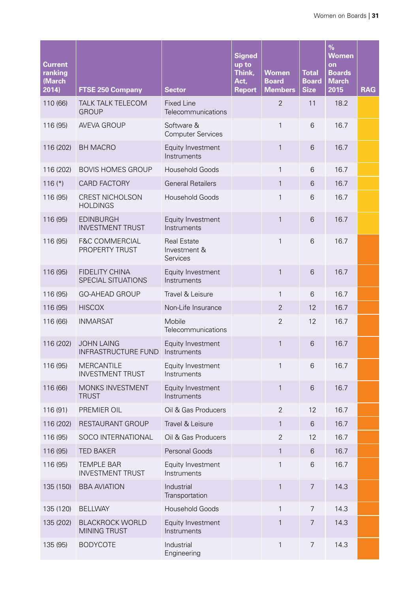| <b>Current</b><br>ranking<br>(March<br>2014) | <b>FTSE 250 Company</b>                         | <b>Sector</b>                                  | <b>Signed</b><br>up to<br>Think,<br>Act,<br><b>Report</b> | <b>Women</b><br><b>Board</b><br><b>Members</b> | <b>Total</b><br><b>Board</b><br><b>Size</b> | $\%$<br><b>Women</b><br>on<br><b>Boards</b><br><b>March</b><br>2015 | <b>RAG</b> |
|----------------------------------------------|-------------------------------------------------|------------------------------------------------|-----------------------------------------------------------|------------------------------------------------|---------------------------------------------|---------------------------------------------------------------------|------------|
| 110 (66)                                     | <b>TALK TALK TELECOM</b><br><b>GROUP</b>        | <b>Fixed Line</b><br>Telecommunications        |                                                           | $\overline{2}$                                 | 11                                          | 18.2                                                                |            |
| 116 (95)                                     | <b>AVEVA GROUP</b>                              | Software &<br><b>Computer Services</b>         |                                                           | $\mathbf{1}$                                   | 6                                           | 16.7                                                                |            |
| 116 (202)                                    | <b>BH MACRO</b>                                 | Equity Investment<br>Instruments               |                                                           | $\mathbf{1}$                                   | 6                                           | 16.7                                                                |            |
| 116 (202)                                    | <b>BOVIS HOMES GROUP</b>                        | <b>Household Goods</b>                         |                                                           | 1                                              | 6                                           | 16.7                                                                |            |
| $116$ (*)                                    | CARD FACTORY                                    | <b>General Retailers</b>                       |                                                           | $\mathbf{1}$                                   | 6                                           | 16.7                                                                |            |
| 116 (95)                                     | <b>CREST NICHOLSON</b><br><b>HOLDINGS</b>       | <b>Household Goods</b>                         |                                                           | $\mathbf{1}$                                   | 6                                           | 16.7                                                                |            |
| 116 (95)                                     | <b>EDINBURGH</b><br><b>INVESTMENT TRUST</b>     | Equity Investment<br>Instruments               |                                                           | $\mathbf{1}$                                   | 6                                           | 16.7                                                                |            |
| 116 (95)                                     | <b>F&amp;C COMMERCIAL</b><br>PROPERTY TRUST     | <b>Real Estate</b><br>Investment &<br>Services |                                                           | $\mathbf{1}$                                   | 6                                           | 16.7                                                                |            |
| 116 (95)                                     | <b>FIDELITY CHINA</b><br>SPECIAL SITUATIONS     | Equity Investment<br>Instruments               |                                                           | 1                                              | 6                                           | 16.7                                                                |            |
| 116 (95)                                     | <b>GO-AHEAD GROUP</b>                           | Travel & Leisure                               |                                                           | $\mathbf{1}$                                   | 6                                           | 16.7                                                                |            |
| 116 (95)                                     | <b>HISCOX</b>                                   | Non-Life Insurance                             |                                                           | $\overline{2}$                                 | 12                                          | 16.7                                                                |            |
| 116 (66)                                     | <b>INMARSAT</b>                                 | Mobile<br>Telecommunications                   |                                                           | $\overline{2}$                                 | 12                                          | 16.7                                                                |            |
| 116 (202)                                    | <b>JOHN LAING</b><br><b>INFRASTRUCTURE FUND</b> | Equity Investment<br>Instruments               |                                                           | $\mathbf{1}$                                   | 6                                           | 16.7                                                                |            |
| 116 (95)                                     | <b>MERCANTILE</b><br><b>INVESTMENT TRUST</b>    | Equity Investment<br>Instruments               |                                                           | $\mathbf{1}$                                   | 6                                           | 16.7                                                                |            |
| 116 (66)                                     | MONKS INVESTMENT<br><b>TRUST</b>                | Equity Investment<br>Instruments               |                                                           | $\mathbf{1}$                                   | $6\,$                                       | 16.7                                                                |            |
| 116 (91)                                     | PREMIER OIL                                     | Oil & Gas Producers                            |                                                           | $\overline{2}$                                 | 12                                          | 16.7                                                                |            |
| 116 (202)                                    | RESTAURANT GROUP                                | Travel & Leisure                               |                                                           | 1                                              | 6                                           | 16.7                                                                |            |
| 116 (95)                                     | SOCO INTERNATIONAL                              | Oil & Gas Producers                            |                                                           | $\overline{2}$                                 | 12                                          | 16.7                                                                |            |
| 116 (95)                                     | <b>TED BAKER</b>                                | Personal Goods                                 |                                                           | $\mathbf{1}$                                   | 6                                           | 16.7                                                                |            |
| 116 (95)                                     | <b>TEMPLE BAR</b><br><b>INVESTMENT TRUST</b>    | Equity Investment<br>Instruments               |                                                           | 1                                              | 6                                           | 16.7                                                                |            |
| 135 (150)                                    | <b>BBA AVIATION</b>                             | Industrial<br>Transportation                   |                                                           | $\mathbf{1}$                                   | $\overline{7}$                              | 14.3                                                                |            |
| 135 (120)                                    | <b>BELLWAY</b>                                  | <b>Household Goods</b>                         |                                                           | $\mathbf{1}$                                   | $\overline{7}$                              | 14.3                                                                |            |
| 135 (202)                                    | <b>BLACKROCK WORLD</b><br>MINING TRUST          | Equity Investment<br>Instruments               |                                                           | $\mathbf{1}$                                   | $\overline{7}$                              | 14.3                                                                |            |
| 135 (95)                                     | <b>BODYCOTE</b>                                 | Industrial<br>Engineering                      |                                                           | $\mathbf{1}$                                   | $\overline{7}$                              | 14.3                                                                |            |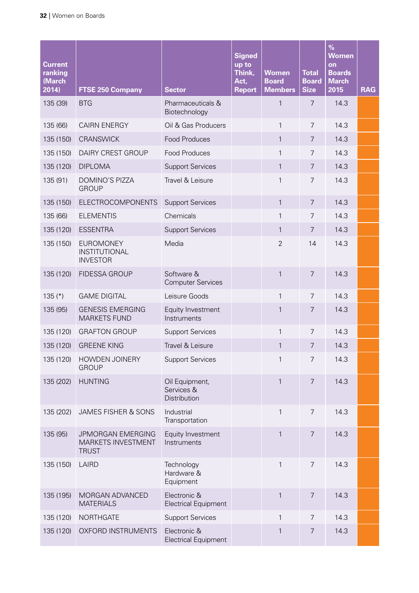| <b>Current</b><br>ranking<br>(March<br>2014) | <b>FTSE 250 Company</b>                                 | <b>Sector</b>                                | <b>Signed</b><br>up to<br>Think,<br>Act,<br><b>Report</b> | <b>Women</b><br><b>Board</b><br><b>Members</b> | <b>Total</b><br><b>Board</b><br><b>Size</b> | $\%$<br><b>Women</b><br>on<br><b>Boards</b><br><b>March</b><br>2015 | <b>RAG</b> |
|----------------------------------------------|---------------------------------------------------------|----------------------------------------------|-----------------------------------------------------------|------------------------------------------------|---------------------------------------------|---------------------------------------------------------------------|------------|
| 135 (39)                                     | <b>BTG</b>                                              | Pharmaceuticals &<br>Biotechnology           |                                                           | 1                                              | 7                                           | 14.3                                                                |            |
| 135 (66)                                     | <b>CAIRN ENERGY</b>                                     | Oil & Gas Producers                          |                                                           | $\mathbf{1}$                                   | $\overline{7}$                              | 14.3                                                                |            |
| 135 (150)                                    | <b>CRANSWICK</b>                                        | <b>Food Produces</b>                         |                                                           | $\mathbf{1}$                                   | $\overline{7}$                              | 14.3                                                                |            |
| 135 (150)                                    | DAIRY CREST GROUP                                       | <b>Food Produces</b>                         |                                                           | $\mathbf{1}$                                   | $\overline{7}$                              | 14.3                                                                |            |
| 135 (120)                                    | <b>DIPLOMA</b>                                          | <b>Support Services</b>                      |                                                           | $\mathbf{1}$                                   | 7                                           | 14.3                                                                |            |
| 135 (91)                                     | <b>DOMINO'S PIZZA</b><br><b>GROUP</b>                   | Travel & Leisure                             |                                                           | $\mathbf{1}$                                   | $\overline{7}$                              | 14.3                                                                |            |
| 135 (150)                                    | ELECTROCOMPONENTS                                       | <b>Support Services</b>                      |                                                           | $\mathbf{1}$                                   | $\overline{7}$                              | 14.3                                                                |            |
| 135 (66)                                     | <b>ELEMENTIS</b>                                        | Chemicals                                    |                                                           | $\mathbf{1}$                                   | $\overline{7}$                              | 14.3                                                                |            |
| 135 (120)                                    | <b>ESSENTRA</b>                                         | <b>Support Services</b>                      |                                                           | $\mathbf{1}$                                   | 7                                           | 14.3                                                                |            |
| 135 (150)                                    | <b>EUROMONEY</b><br>INSTITUTIONAL<br><b>INVESTOR</b>    | Media                                        |                                                           | $\overline{2}$                                 | 14                                          | 14.3                                                                |            |
| 135 (120)                                    | <b>FIDESSA GROUP</b>                                    | Software &<br><b>Computer Services</b>       |                                                           | $\mathbf{1}$                                   | $\overline{7}$                              | 14.3                                                                |            |
| $135$ (*)                                    | <b>GAME DIGITAL</b>                                     | Leisure Goods                                |                                                           | $\mathbf{1}$                                   | $\overline{7}$                              | 14.3                                                                |            |
| 135 (95)                                     | <b>GENESIS EMERGING</b><br><b>MARKETS FUND</b>          | Equity Investment<br>Instruments             |                                                           | 1                                              | 7                                           | 14.3                                                                |            |
| 135 (120)                                    | <b>GRAFTON GROUP</b>                                    | <b>Support Services</b>                      |                                                           | $\mathbf{1}$                                   | 7                                           | 14.3                                                                |            |
| 135 (120)                                    | <b>GREENE KING</b>                                      | Travel & Leisure                             |                                                           | $\mathbf{1}$                                   | 7                                           | 14.3                                                                |            |
| 135 (120)                                    | HOWDEN JOINERY<br><b>GROUP</b>                          | <b>Support Services</b>                      |                                                           | 1                                              | 7                                           | 14.3                                                                |            |
| 135 (202)                                    | <b>HUNTING</b>                                          | Oil Equipment,<br>Services &<br>Distribution |                                                           | $\mathbf{1}$                                   | $\overline{7}$                              | 14.3                                                                |            |
| 135 (202)                                    | JAMES FISHER & SONS                                     | Industrial<br>Transportation                 |                                                           | $\mathbf{1}$                                   | $\overline{7}$                              | 14.3                                                                |            |
| 135 (95)                                     | JPMORGAN EMERGING<br>MARKETS INVESTMENT<br><b>TRUST</b> | Equity Investment<br>Instruments             |                                                           | $\mathbf{1}$                                   | $\overline{7}$                              | 14.3                                                                |            |
| 135 (150)                                    | LAIRD                                                   | Technology<br>Hardware &<br>Equipment        |                                                           | $\mathbf{1}$                                   | $\overline{7}$                              | 14.3                                                                |            |
| 135 (195)                                    | MORGAN ADVANCED<br><b>MATERIALS</b>                     | Electronic &<br><b>Electrical Equipment</b>  |                                                           | $\mathbf{1}$                                   | $\overline{7}$                              | 14.3                                                                |            |
| 135 (120)                                    | <b>NORTHGATE</b>                                        | <b>Support Services</b>                      |                                                           | 1                                              | $\overline{7}$                              | 14.3                                                                |            |
| 135 (120)                                    | OXFORD INSTRUMENTS                                      | Electronic &<br><b>Electrical Equipment</b>  |                                                           | 1                                              | 7                                           | 14.3                                                                |            |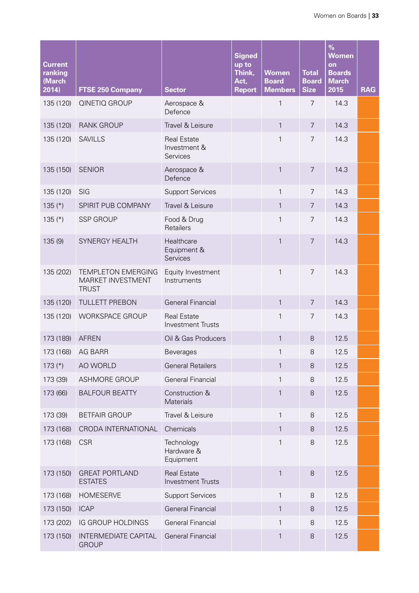| <b>Current</b><br>ranking<br>(March<br>2014) | <b>FTSE 250 Company</b>                                        | <b>Sector</b>                                  | <b>Signed</b><br>up to<br>Think,<br>Act,<br><b>Report</b> | <b>Women</b><br><b>Board</b><br><b>Members</b> | <b>Total</b><br><b>Board</b><br><b>Size</b> | $\%$<br><b>Women</b><br>on<br><b>Boards</b><br><b>March</b><br>2015 | <b>RAG</b> |
|----------------------------------------------|----------------------------------------------------------------|------------------------------------------------|-----------------------------------------------------------|------------------------------------------------|---------------------------------------------|---------------------------------------------------------------------|------------|
| 135 (120)                                    | QINETIQ GROUP                                                  | Aerospace &<br>Defence                         |                                                           | 1                                              | $\overline{7}$                              | 14.3                                                                |            |
| 135 (120)                                    | <b>RANK GROUP</b>                                              | Travel & Leisure                               |                                                           | $\mathbf{1}$                                   | $\overline{7}$                              | 14.3                                                                |            |
| 135 (120)                                    | <b>SAVILLS</b>                                                 | <b>Real Estate</b><br>Investment &<br>Services |                                                           | $\mathbf{1}$                                   | $\overline{7}$                              | 14.3                                                                |            |
| 135 (150)                                    | <b>SENIOR</b>                                                  | Aerospace &<br>Defence                         |                                                           | 1                                              | $\overline{7}$                              | 14.3                                                                |            |
| 135 (120)                                    | SIG                                                            | <b>Support Services</b>                        |                                                           | $\mathbf{1}$                                   | $\overline{7}$                              | 14.3                                                                |            |
| $135$ (*)                                    | SPIRIT PUB COMPANY                                             | Travel & Leisure                               |                                                           | $\mathbf{1}$                                   | $\overline{7}$                              | 14.3                                                                |            |
| $135$ (*)                                    | <b>SSP GROUP</b>                                               | Food & Drug<br>Retailers                       |                                                           | $\mathbf{1}$                                   | $\overline{7}$                              | 14.3                                                                |            |
| 135(9)                                       | SYNERGY HEALTH                                                 | Healthcare<br>Equipment &<br>Services          |                                                           | $\mathbf{1}$                                   | $\overline{7}$                              | 14.3                                                                |            |
| 135 (202)                                    | <b>TEMPLETON EMERGING</b><br>MARKET INVESTMENT<br><b>TRUST</b> | Equity Investment<br>Instruments               |                                                           | $\mathbf{1}$                                   | $\overline{7}$                              | 14.3                                                                |            |
| 135 (120)                                    | <b>TULLETT PREBON</b>                                          | <b>General Financial</b>                       |                                                           | $\mathbf{1}$                                   | $\overline{7}$                              | 14.3                                                                |            |
| 135 (120)                                    | <b>WORKSPACE GROUP</b>                                         | <b>Real Estate</b><br><b>Investment Trusts</b> |                                                           | $\mathbf{1}$                                   | $\overline{7}$                              | 14.3                                                                |            |
| 173 (189)                                    | <b>AFREN</b>                                                   | Oil & Gas Producers                            |                                                           | $\mathbf{1}$                                   | 8                                           | 12.5                                                                |            |
| 173 (168)                                    | <b>AG BARR</b>                                                 | <b>Beverages</b>                               |                                                           | 1                                              | 8                                           | 12.5                                                                |            |
| $173$ (*)                                    | AO WORLD                                                       | <b>General Retailers</b>                       |                                                           | 1                                              | 8                                           | 12.5                                                                |            |
| 173 (39)                                     | <b>ASHMORE GROUP</b>                                           | <b>General Financial</b>                       |                                                           | $\mathbf{1}$                                   | 8                                           | 12.5                                                                |            |
| 173 (66)                                     | <b>BALFOUR BEATTY</b>                                          | Construction &<br><b>Materials</b>             |                                                           | 1                                              | 8                                           | 12.5                                                                |            |
| 173 (39)                                     | <b>BETFAIR GROUP</b>                                           | Travel & Leisure                               |                                                           | 1                                              | $8\,$                                       | 12.5                                                                |            |
| 173 (168)                                    | CRODA INTERNATIONAL                                            | Chemicals                                      |                                                           | $\mathbf{1}$                                   | $8\,$                                       | 12.5                                                                |            |
| 173 (168)                                    | <b>CSR</b>                                                     | Technology<br>Hardware &<br>Equipment          |                                                           | $\mathbf{1}$                                   | $\,8\,$                                     | 12.5                                                                |            |
| 173 (150)                                    | <b>GREAT PORTLAND</b><br><b>ESTATES</b>                        | <b>Real Estate</b><br><b>Investment Trusts</b> |                                                           | $\mathbf{1}$                                   | 8                                           | 12.5                                                                |            |
| 173 (168)                                    | <b>HOMESERVE</b>                                               | <b>Support Services</b>                        |                                                           | $\mathbf{1}$                                   | 8                                           | 12.5                                                                |            |
| 173 (150)                                    | <b>ICAP</b>                                                    | <b>General Financial</b>                       |                                                           | $\mathbf{1}$                                   | 8                                           | 12.5                                                                |            |
| 173 (202)                                    | IG GROUP HOLDINGS                                              | <b>General Financial</b>                       |                                                           | $\mathbf{1}$                                   | $\,8\,$                                     | 12.5                                                                |            |
| 173 (150)                                    | <b>INTERMEDIATE CAPITAL</b><br><b>GROUP</b>                    | <b>General Financial</b>                       |                                                           | $\mathbf{1}$                                   | 8                                           | 12.5                                                                |            |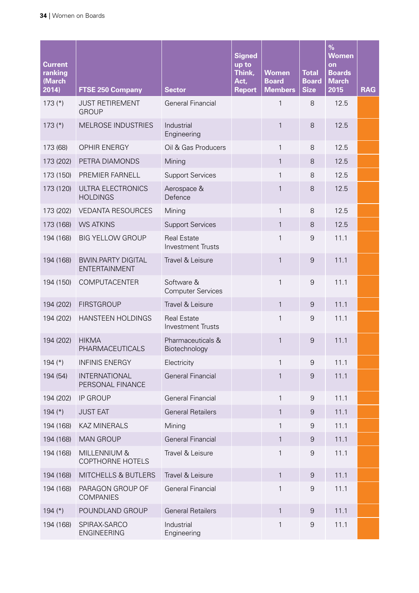| <b>Current</b><br>ranking<br>(March<br>2014) | <b>FTSE 250 Company</b>                           | <b>Sector</b>                                  | <b>Signed</b><br>up to<br>Think,<br>Act,<br><b>Report</b> | <b>Women</b><br><b>Board</b><br><b>Members</b> | <b>Total</b><br><b>Board</b><br><b>Size</b> | $\frac{9}{6}$<br><b>Women</b><br>on<br><b>Boards</b><br><b>March</b><br>2015 | <b>RAG</b> |
|----------------------------------------------|---------------------------------------------------|------------------------------------------------|-----------------------------------------------------------|------------------------------------------------|---------------------------------------------|------------------------------------------------------------------------------|------------|
| $173$ (*)                                    | <b>JUST RETIREMENT</b><br><b>GROUP</b>            | <b>General Financial</b>                       |                                                           | 1                                              | 8                                           | 12.5                                                                         |            |
| $173$ (*)                                    | <b>MELROSE INDUSTRIES</b>                         | Industrial<br>Engineering                      |                                                           | 1                                              | 8                                           | 12.5                                                                         |            |
| 173 (68)                                     | <b>OPHIR ENERGY</b>                               | Oil & Gas Producers                            |                                                           | 1                                              | 8                                           | 12.5                                                                         |            |
| 173 (202)                                    | PETRA DIAMONDS                                    | Mining                                         |                                                           | $\mathbf{1}$                                   | 8                                           | 12.5                                                                         |            |
| 173 (150)                                    | PREMIER FARNELL                                   | <b>Support Services</b>                        |                                                           | 1                                              | 8                                           | 12.5                                                                         |            |
| 173 (120)                                    | ULTRA ELECTRONICS<br><b>HOLDINGS</b>              | Aerospace &<br>Defence                         |                                                           | $\mathbf{1}$                                   | 8                                           | 12.5                                                                         |            |
| 173 (202)                                    | <b>VEDANTA RESOURCES</b>                          | Mining                                         |                                                           | 1                                              | 8                                           | 12.5                                                                         |            |
| 173 (168)                                    | <b>WS ATKINS</b>                                  | <b>Support Services</b>                        |                                                           | $\mathbf{1}$                                   | 8                                           | 12.5                                                                         |            |
| 194 (168)                                    | <b>BIG YELLOW GROUP</b>                           | <b>Real Estate</b><br><b>Investment Trusts</b> |                                                           | 1                                              | 9                                           | 11.1                                                                         |            |
| 194 (168)                                    | <b>BWIN.PARTY DIGITAL</b><br><b>ENTERTAINMENT</b> | Travel & Leisure                               |                                                           | $\mathbf{1}$                                   | $\overline{9}$                              | 11.1                                                                         |            |
| 194 (150)                                    | COMPUTACENTER                                     | Software &<br><b>Computer Services</b>         |                                                           | $\mathbf{1}$                                   | $\boldsymbol{9}$                            | 11.1                                                                         |            |
| 194 (202)                                    | <b>FIRSTGROUP</b>                                 | Travel & Leisure                               |                                                           | $\mathbf{1}$                                   | $\overline{9}$                              | 11.1                                                                         |            |
| 194 (202)                                    | <b>HANSTEEN HOLDINGS</b>                          | <b>Real Estate</b><br><b>Investment Trusts</b> |                                                           | $\mathbf{1}$                                   | 9                                           | 11.1                                                                         |            |
| 194 (202)                                    | <b>HIKMA</b><br>PHARMACEUTICALS                   | Pharmaceuticals &<br>Biotechnology             |                                                           | $\mathbf{1}$                                   | $\overline{9}$                              | 11.1                                                                         |            |
| 194 $(*)$                                    | <b>INFINIS ENERGY</b>                             | Electricity                                    |                                                           | 1                                              | 9                                           | 11.1                                                                         |            |
| 194 (54)                                     | <b>INTERNATIONAL</b><br>PERSONAL FINANCE          | <b>General Financial</b>                       |                                                           | 1                                              | $\boldsymbol{9}$                            | 11.1                                                                         |            |
| 194 (202)                                    | <b>IP GROUP</b>                                   | <b>General Financial</b>                       |                                                           | $\mathbf{1}$                                   | $\boldsymbol{9}$                            | 11.1                                                                         |            |
| 194 $(*)$                                    | <b>JUST EAT</b>                                   | <b>General Retailers</b>                       |                                                           | $\mathbf{1}$                                   | $9\,$                                       | 11.1                                                                         |            |
| 194 (168)                                    | <b>KAZ MINERALS</b>                               | Mining                                         |                                                           | $\mathbf{1}$                                   | $\boldsymbol{9}$                            | 11.1                                                                         |            |
| 194 (168)                                    | <b>MAN GROUP</b>                                  | <b>General Financial</b>                       |                                                           | $\mathbf{1}$                                   | $\boldsymbol{9}$                            | 11.1                                                                         |            |
| 194 (168)                                    | MILLENNIUM &<br><b>COPTHORNE HOTELS</b>           | Travel & Leisure                               |                                                           | 1                                              | $\boldsymbol{9}$                            | 11.1                                                                         |            |
| 194 (168)                                    | MITCHELLS & BUTLERS                               | Travel & Leisure                               |                                                           | $\mathbf{1}$                                   | $\overline{9}$                              | 11.1                                                                         |            |
| 194 (168)                                    | PARAGON GROUP OF<br><b>COMPANIES</b>              | <b>General Financial</b>                       |                                                           | 1                                              | $\boldsymbol{9}$                            | 11.1                                                                         |            |
| 194 $(*)$                                    | POUNDLAND GROUP                                   | <b>General Retailers</b>                       |                                                           | $\mathbf{1}$                                   | 9                                           | 11.1                                                                         |            |
| 194 (168)                                    | SPIRAX-SARCO<br><b>ENGINEERING</b>                | Industrial<br>Engineering                      |                                                           | 1                                              | $\boldsymbol{9}$                            | 11.1                                                                         |            |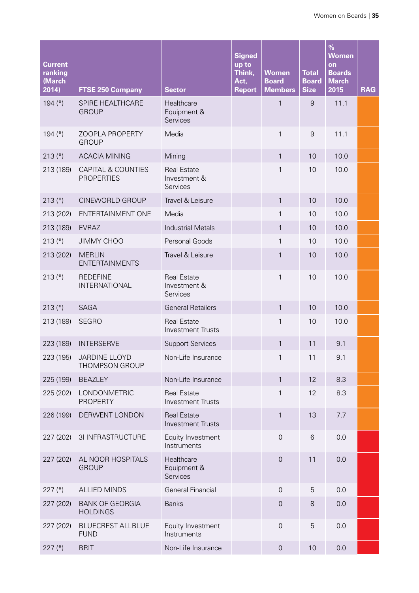| <b>Current</b><br>ranking<br>(March<br>2014) | <b>FTSE 250 Company</b>                            | <b>Sector</b>                                  | <b>Signed</b><br>up to<br>Think,<br>Act,<br><b>Report</b> | <b>Women</b><br><b>Board</b><br><b>Members</b> | <b>Total</b><br><b>Board</b><br><b>Size</b> | $\%$<br><b>Women</b><br>on<br><b>Boards</b><br><b>March</b><br>2015 | <b>RAG</b> |
|----------------------------------------------|----------------------------------------------------|------------------------------------------------|-----------------------------------------------------------|------------------------------------------------|---------------------------------------------|---------------------------------------------------------------------|------------|
| 194 $(*)$                                    | SPIRE HEALTHCARE<br><b>GROUP</b>                   | Healthcare<br>Equipment &<br>Services          |                                                           | 1                                              | 9                                           | 11.1                                                                |            |
| 194 $(*)$                                    | ZOOPLA PROPERTY<br><b>GROUP</b>                    | Media                                          |                                                           | $\mathbf{1}$                                   | $\overline{9}$                              | 11.1                                                                |            |
| $213$ (*)                                    | <b>ACACIA MINING</b>                               | Mining                                         |                                                           | $\mathbf{1}$                                   | 10                                          | 10.0                                                                |            |
| 213 (189)                                    | <b>CAPITAL &amp; COUNTIES</b><br><b>PROPERTIES</b> | <b>Real Estate</b><br>Investment &<br>Services |                                                           | $\mathbf{1}$                                   | 10                                          | 10.0                                                                |            |
| $213$ (*)                                    | CINEWORLD GROUP                                    | Travel & Leisure                               |                                                           | $\mathbf{1}$                                   | 10                                          | 10.0                                                                |            |
| 213 (202)                                    | ENTERTAINMENT ONE                                  | Media                                          |                                                           | $\mathbf{1}$                                   | 10                                          | 10.0                                                                |            |
| 213 (189)                                    | <b>EVRAZ</b>                                       | <b>Industrial Metals</b>                       |                                                           | $\mathbf{1}$                                   | 10                                          | 10.0                                                                |            |
| $213$ (*)                                    | <b>JIMMY CHOO</b>                                  | Personal Goods                                 |                                                           | $\mathbf{1}$                                   | 10                                          | 10.0                                                                |            |
| 213 (202)                                    | <b>MERLIN</b><br><b>ENTERTAINMENTS</b>             | Travel & Leisure                               |                                                           | 1                                              | 10                                          | 10.0                                                                |            |
| $213$ (*)                                    | <b>REDEFINE</b><br><b>INTERNATIONAL</b>            | <b>Real Estate</b><br>Investment &<br>Services |                                                           | $\mathbf{1}$                                   | 10                                          | 10.0                                                                |            |
| $213$ (*)                                    | <b>SAGA</b>                                        | <b>General Retailers</b>                       |                                                           | $\mathbf{1}$                                   | 10                                          | 10.0                                                                |            |
| 213 (189)                                    | <b>SEGRO</b>                                       | <b>Real Estate</b><br><b>Investment Trusts</b> |                                                           | $\mathbf{1}$                                   | 10                                          | 10.0                                                                |            |
| 223 (189)                                    | <b>INTERSERVE</b>                                  | <b>Support Services</b>                        |                                                           | $\mathbf{1}$                                   | 11                                          | 9.1                                                                 |            |
| 223 (195)                                    | JARDINE LLOYD<br>THOMPSON GROUP                    | Non-Life Insurance                             |                                                           | $\mathbf{1}$                                   | 11                                          | 9.1                                                                 |            |
| 225 (199)                                    | <b>BEAZLEY</b>                                     | Non-Life Insurance                             |                                                           | $\mathbf{1}$                                   | 12                                          | 8.3                                                                 |            |
| 225 (202)                                    | LONDONMETRIC<br><b>PROPERTY</b>                    | <b>Real Estate</b><br><b>Investment Trusts</b> |                                                           | $\mathbf{1}$                                   | 12                                          | 8.3                                                                 |            |
| 226 (199)                                    | DERWENT LONDON                                     | <b>Real Estate</b><br><b>Investment Trusts</b> |                                                           | $\mathbf{1}$                                   | 13                                          | 7.7                                                                 |            |
| 227 (202)                                    | 3I INFRASTRUCTURE                                  | Equity Investment<br>Instruments               |                                                           | $\overline{0}$                                 | $6\,$                                       | 0.0                                                                 |            |
| 227 (202)                                    | AL NOOR HOSPITALS<br><b>GROUP</b>                  | Healthcare<br>Equipment &<br>Services          |                                                           | $\mathsf{O}\xspace$                            | 11                                          | 0.0                                                                 |            |
| $227$ (*)                                    | <b>ALLIED MINDS</b>                                | <b>General Financial</b>                       |                                                           | $\mathbf 0$                                    | 5                                           | 0.0                                                                 |            |
| 227 (202)                                    | <b>BANK OF GEORGIA</b><br><b>HOLDINGS</b>          | <b>Banks</b>                                   |                                                           | $\mathbf 0$                                    | 8                                           | 0.0                                                                 |            |
| 227 (202)                                    | <b>BLUECREST ALLBLUE</b><br><b>FUND</b>            | Equity Investment<br>Instruments               |                                                           | $\mathsf{O}\xspace$                            | 5                                           | 0.0                                                                 |            |
| $227$ (*)                                    | <b>BRIT</b>                                        | Non-Life Insurance                             |                                                           | $\mathsf{O}\xspace$                            | 10                                          | 0.0                                                                 |            |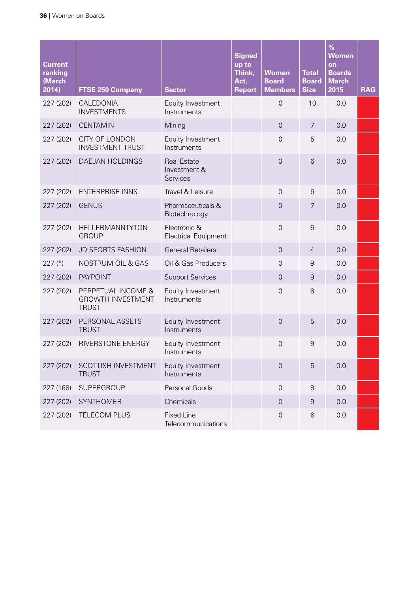| <b>Current</b><br>ranking<br>(March<br>2014) | <b>FTSE 250 Company</b>                                        | <b>Sector</b>                                  | <b>Signed</b><br>up to<br>Think,<br>Act,<br><b>Report</b> | <b>Women</b><br><b>Board</b><br><b>Members</b> | <b>Total</b><br><b>Board</b><br><b>Size</b> | $\frac{9}{6}$<br><b>Women</b><br>on<br><b>Boards</b><br><b>March</b><br>2015 | <b>RAG</b> |
|----------------------------------------------|----------------------------------------------------------------|------------------------------------------------|-----------------------------------------------------------|------------------------------------------------|---------------------------------------------|------------------------------------------------------------------------------|------------|
| 227 (202)                                    | CALEDONIA<br><b>INVESTMENTS</b>                                | Equity Investment<br>Instruments               |                                                           | $\overline{0}$                                 | 10                                          | 0.0                                                                          |            |
| 227 (202)                                    | <b>CENTAMIN</b>                                                | Mining                                         |                                                           | $\overline{0}$                                 | $\overline{7}$                              | 0.0                                                                          |            |
| 227 (202)                                    | CITY OF LONDON<br><b>INVESTMENT TRUST</b>                      | Equity Investment<br>Instruments               |                                                           | $\overline{0}$                                 | 5                                           | 0.0                                                                          |            |
| 227 (202)                                    | DAEJAN HOLDINGS                                                | <b>Real Estate</b><br>Investment &<br>Services |                                                           | $\overline{0}$                                 | 6                                           | 0.0                                                                          |            |
| 227 (202)                                    | <b>ENTERPRISE INNS</b>                                         | Travel & Leisure                               |                                                           | $\overline{0}$                                 | 6                                           | 0.0                                                                          |            |
| 227 (202)                                    | <b>GENUS</b>                                                   | Pharmaceuticals &<br>Biotechnology             |                                                           | $\overline{0}$                                 | 7                                           | 0.0                                                                          |            |
| 227 (202)                                    | HELLERMANNTYTON<br><b>GROUP</b>                                | Electronic &<br><b>Electrical Equipment</b>    |                                                           | $\overline{0}$                                 | 6                                           | 0.0                                                                          |            |
| 227 (202)                                    | <b>JD SPORTS FASHION</b>                                       | <b>General Retailers</b>                       |                                                           | $\overline{0}$                                 | $\overline{4}$                              | 0.0                                                                          |            |
| 227 $(*)$                                    | NOSTRUM OIL & GAS                                              | Oil & Gas Producers                            |                                                           | $\mathbf 0$                                    | $\boldsymbol{9}$                            | 0.0                                                                          |            |
| 227 (202)                                    | <b>PAYPOINT</b>                                                | <b>Support Services</b>                        |                                                           | $\mathbf 0$                                    | $\overline{9}$                              | 0.0                                                                          |            |
| 227 (202)                                    | PERPETUAL INCOME &<br><b>GROWTH INVESTMENT</b><br><b>TRUST</b> | Equity Investment<br>Instruments               |                                                           | $\overline{0}$                                 | 6                                           | 0.0                                                                          |            |
| 227 (202)                                    | PERSONAL ASSETS<br><b>TRUST</b>                                | Equity Investment<br>Instruments               |                                                           | $\overline{0}$                                 | 5                                           | 0.0                                                                          |            |
| 227 (202)                                    | RIVERSTONE ENERGY                                              | Equity Investment<br>Instruments               |                                                           | $\overline{0}$                                 | $\boldsymbol{9}$                            | 0.0                                                                          |            |
| 227 (202)                                    | SCOTTISH INVESTMENT<br><b>TRUST</b>                            | Equity Investment<br>Instruments               |                                                           | $\mathsf{O}\xspace$                            | 5                                           | 0.0                                                                          |            |
| 227 (168)                                    | SUPERGROUP                                                     | Personal Goods                                 |                                                           | $\mathbf 0$                                    | $\,8\,$                                     | 0.0                                                                          |            |
| 227 (202)                                    | <b>SYNTHOMER</b>                                               | Chemicals                                      |                                                           | $\boldsymbol{0}$                               | $9\,$                                       | 0.0                                                                          |            |
| 227 (202)                                    | TELECOM PLUS                                                   | <b>Fixed Line</b><br>Telecommunications        |                                                           | $\mathsf{O}\xspace$                            | 6                                           | 0.0                                                                          |            |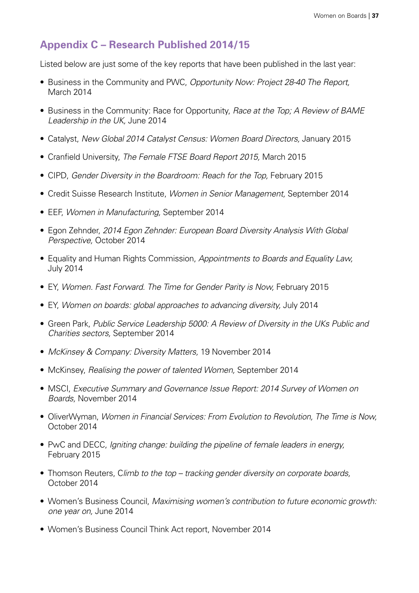# <span id="page-38-0"></span>**Appendix C – Research Published 2014/15**

Listed below are just some of the key reports that have been published in the last year:

- Business in the Community and PWC, Opportunity Now: Project 28-40 The Report, March 2014
- Business in the Community: Race for Opportunity, *Race at the Top; A Review of BAME Leadership in the UK,* June 2014
- • Catalyst, *New Global 2014 Catalyst Census: Women Board Directors,* January 2015
- • Cranfield University, *The Female FTSE Board Report 2015,* March 2015
- CIPD, *Gender Diversity in the Boardroom: Reach for the Top*, February 2015
- • Credit Suisse Research Institute, *Women in Senior Management,* September 2014
- • EEF, *Women in Manufacturing,* September 2014
- • Egon Zehnder, *2014 Egon Zehnder: European Board Diversity Analysis With Global Perspective,* October 2014
- • Equality and Human Rights Commission, *Appointments to Boards and Equality Law,* July 2014
- EY, Women. Fast Forward. The Time for Gender Parity is Now, February 2015
- EY, *Women on boards: global approaches to advancing diversity, July 2014*
- • Green Park, *Public Service Leadership 5000: A Review of Diversity in the UKs Public and Charities sectors,* September 2014
- • *McKinsey & Company: Diversity Matters,* 19 November 2014
- • McKinsey, *Realising the power of talented Women,* September 2014
- MSCI, *Executive Summary and Governance Issue Report: 2014 Survey of Women on Boards,* November 2014
- • OliverWyman, *Women in Financial Services: From Evolution to Revolution, The Time is Now,*  October 2014
- PwC and DECC, *Igniting change: building the pipeline of female leaders in energy,* February 2015
- Thomson Reuters, Climb to the top tracking gender diversity on corporate boards, October 2014
- • Women's Business Council, *Maximising women's contribution to future economic growth: one year on,* June 2014
- Women's Business Council Think Act report, November 2014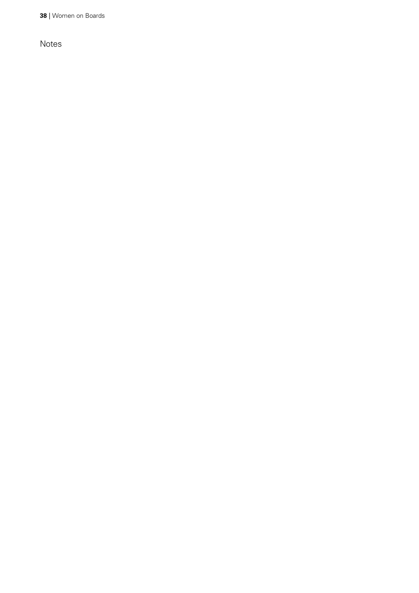**38** | Women on Boards

Notes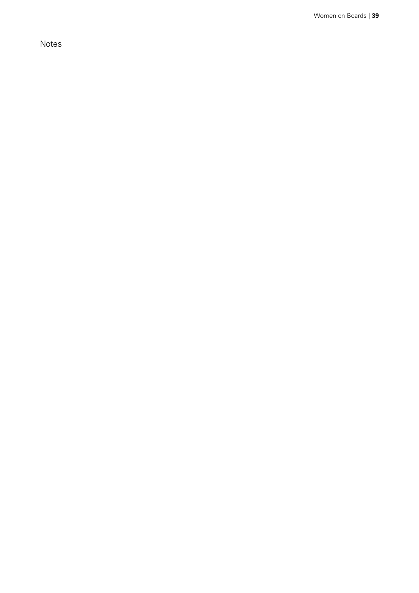Notes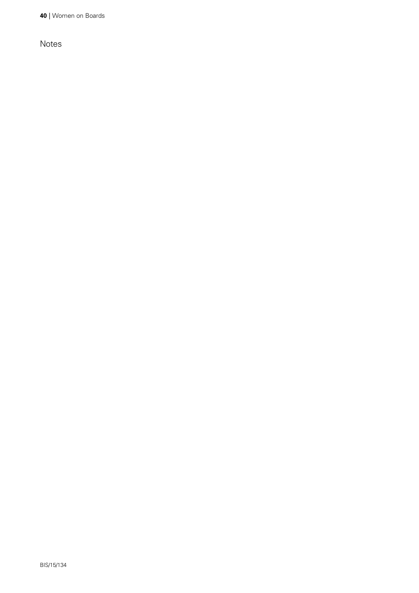**40** | Women on Boards

Notes